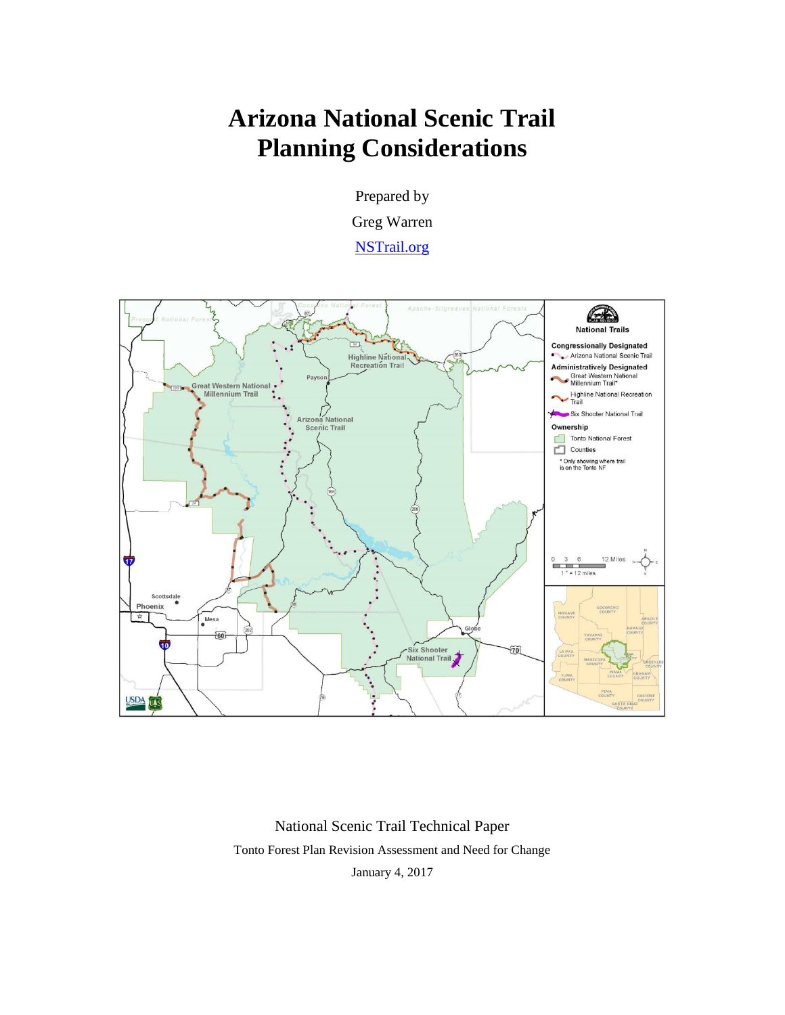# **Arizona National Scenic Trail Planning Considerations**

Prepared by Greg Warren

[NSTrail.org](http://www.nstrail.org/)



National Scenic Trail Technical Paper Tonto Forest Plan Revision Assessment and Need for Change January 4, 2017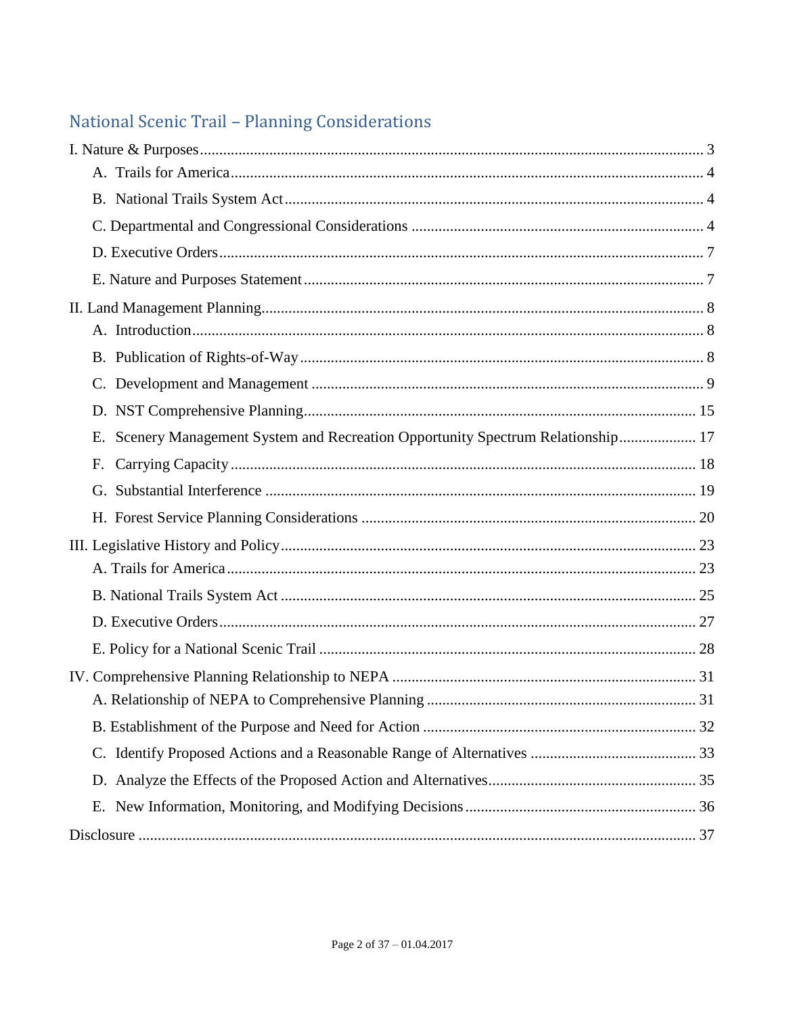# National Scenic Trail - Planning Considerations

| Scenery Management System and Recreation Opportunity Spectrum Relationship 17<br>Е. |  |
|-------------------------------------------------------------------------------------|--|
| F.                                                                                  |  |
|                                                                                     |  |
|                                                                                     |  |
|                                                                                     |  |
|                                                                                     |  |
|                                                                                     |  |
|                                                                                     |  |
|                                                                                     |  |
|                                                                                     |  |
|                                                                                     |  |
|                                                                                     |  |
|                                                                                     |  |
|                                                                                     |  |
|                                                                                     |  |
|                                                                                     |  |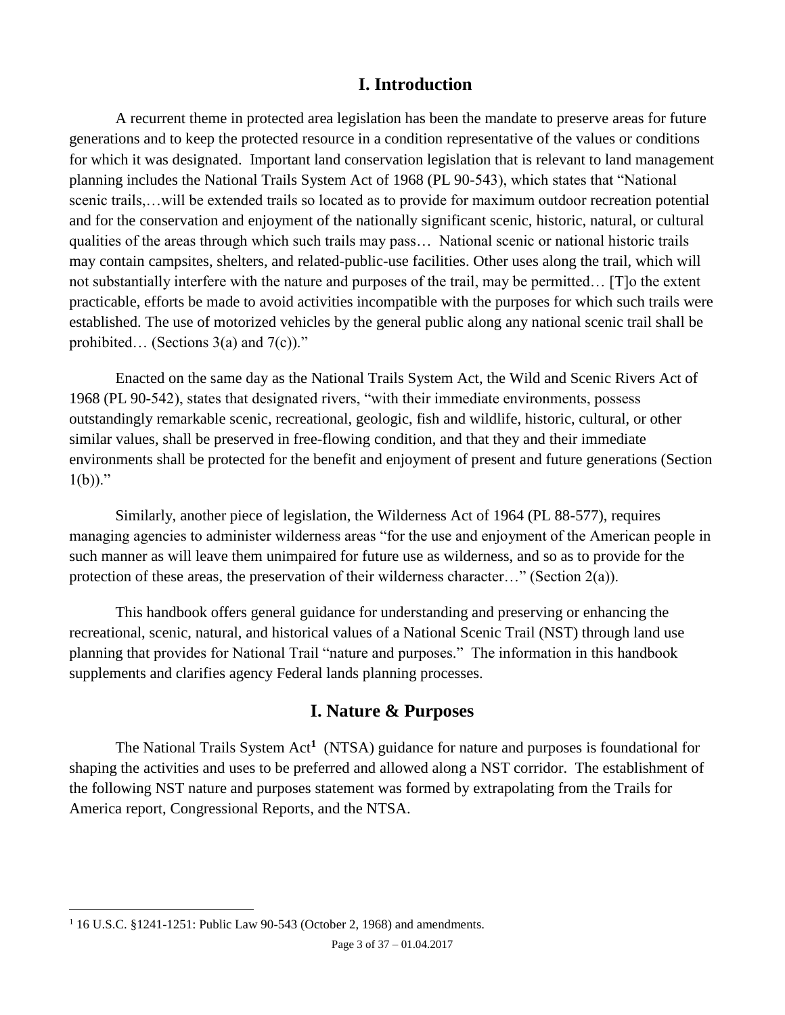# **I. Introduction**

A recurrent theme in protected area legislation has been the mandate to preserve areas for future generations and to keep the protected resource in a condition representative of the values or conditions for which it was designated. Important land conservation legislation that is relevant to land management planning includes the National Trails System Act of 1968 (PL 90-543), which states that "National scenic trails,…will be extended trails so located as to provide for maximum outdoor recreation potential and for the conservation and enjoyment of the nationally significant scenic, historic, natural, or cultural qualities of the areas through which such trails may pass… National scenic or national historic trails may contain campsites, shelters, and related-public-use facilities. Other uses along the trail, which will not substantially interfere with the nature and purposes of the trail, may be permitted… [T]o the extent practicable, efforts be made to avoid activities incompatible with the purposes for which such trails were established. The use of motorized vehicles by the general public along any national scenic trail shall be prohibited... (Sections  $3(a)$  and  $7(c)$ )."

Enacted on the same day as the National Trails System Act, the Wild and Scenic Rivers Act of 1968 (PL 90-542), states that designated rivers, "with their immediate environments, possess outstandingly remarkable scenic, recreational, geologic, fish and wildlife, historic, cultural, or other similar values, shall be preserved in free-flowing condition, and that they and their immediate environments shall be protected for the benefit and enjoyment of present and future generations (Section  $1(b)$ )."

Similarly, another piece of legislation, the Wilderness Act of 1964 (PL 88-577), requires managing agencies to administer wilderness areas "for the use and enjoyment of the American people in such manner as will leave them unimpaired for future use as wilderness, and so as to provide for the protection of these areas, the preservation of their wilderness character…" (Section 2(a)).

This handbook offers general guidance for understanding and preserving or enhancing the recreational, scenic, natural, and historical values of a National Scenic Trail (NST) through land use planning that provides for National Trail "nature and purposes." The information in this handbook supplements and clarifies agency Federal lands planning processes.

# <span id="page-2-1"></span>**I. Nature & Purposes**

<span id="page-2-0"></span>The National Trails System Act**<sup>1</sup>** (NTSA) guidance for nature and purposes is foundational for shaping the activities and uses to be preferred and allowed along a NST corridor. The establishment of the following NST nature and purposes statement was formed by extrapolating from the Trails for America report, Congressional Reports, and the NTSA.

<sup>&</sup>lt;sup>1</sup> 16 U.S.C. §1241-1251: Public Law 90-543 (October 2, 1968) and amendments.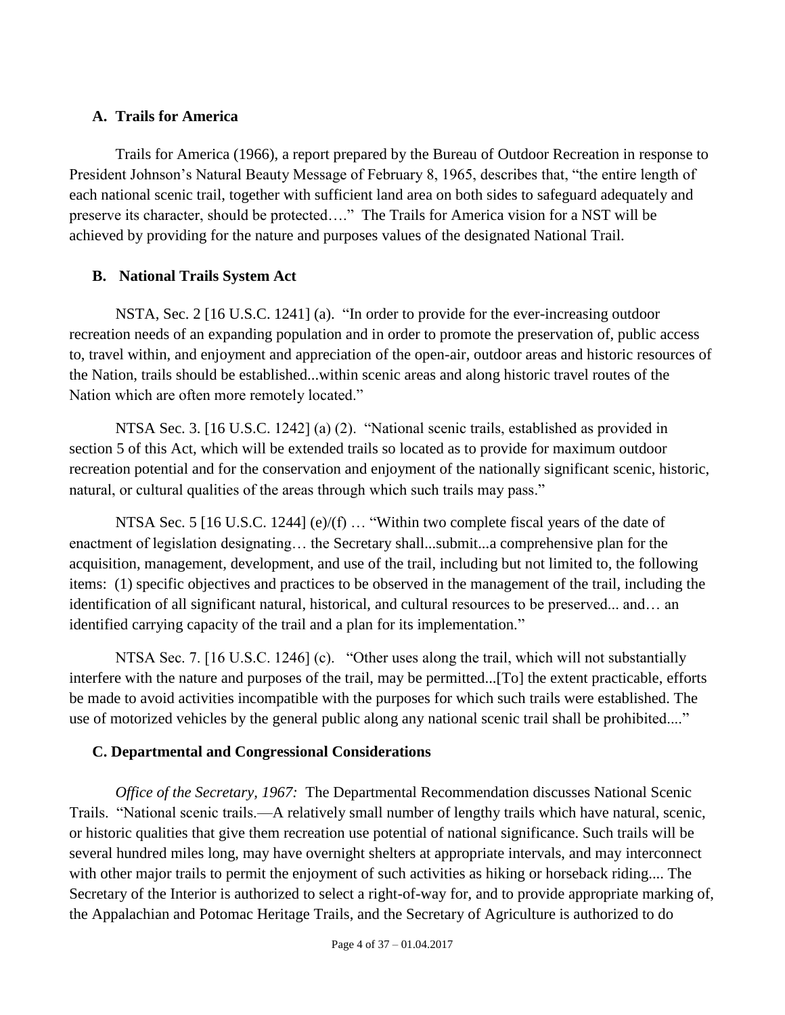#### <span id="page-3-0"></span>**A. Trails for America**

Trails for America (1966), a report prepared by the Bureau of Outdoor Recreation in response to President Johnson's Natural Beauty Message of February 8, 1965, describes that, "the entire length of each national scenic trail, together with sufficient land area on both sides to safeguard adequately and preserve its character, should be protected…." The Trails for America vision for a NST will be achieved by providing for the nature and purposes values of the designated National Trail.

# <span id="page-3-1"></span>**B. National Trails System Act**

NSTA, Sec. 2 [16 U.S.C. 1241] (a). "In order to provide for the ever-increasing outdoor recreation needs of an expanding population and in order to promote the preservation of, public access to, travel within, and enjoyment and appreciation of the open-air, outdoor areas and historic resources of the Nation, trails should be established...within scenic areas and along historic travel routes of the Nation which are often more remotely located."

NTSA Sec. 3. [16 U.S.C. 1242] (a) (2). "National scenic trails, established as provided in section 5 of this Act, which will be extended trails so located as to provide for maximum outdoor recreation potential and for the conservation and enjoyment of the nationally significant scenic, historic, natural, or cultural qualities of the areas through which such trails may pass."

NTSA Sec. 5 [16 U.S.C. 1244] (e)/(f) ... "Within two complete fiscal years of the date of enactment of legislation designating… the Secretary shall...submit...a comprehensive plan for the acquisition, management, development, and use of the trail, including but not limited to, the following items: (1) specific objectives and practices to be observed in the management of the trail, including the identification of all significant natural, historical, and cultural resources to be preserved... and… an identified carrying capacity of the trail and a plan for its implementation."

NTSA Sec. 7. [16 U.S.C. 1246] (c). "Other uses along the trail, which will not substantially interfere with the nature and purposes of the trail, may be permitted...[To] the extent practicable, efforts be made to avoid activities incompatible with the purposes for which such trails were established. The use of motorized vehicles by the general public along any national scenic trail shall be prohibited...."

# <span id="page-3-2"></span>**C. Departmental and Congressional Considerations**

*Office of the Secretary, 1967:* The Departmental Recommendation discusses National Scenic Trails. "National scenic trails.—A relatively small number of lengthy trails which have natural, scenic, or historic qualities that give them recreation use potential of national significance. Such trails will be several hundred miles long, may have overnight shelters at appropriate intervals, and may interconnect with other major trails to permit the enjoyment of such activities as hiking or horseback riding.... The Secretary of the Interior is authorized to select a right-of-way for, and to provide appropriate marking of, the Appalachian and Potomac Heritage Trails, and the Secretary of Agriculture is authorized to do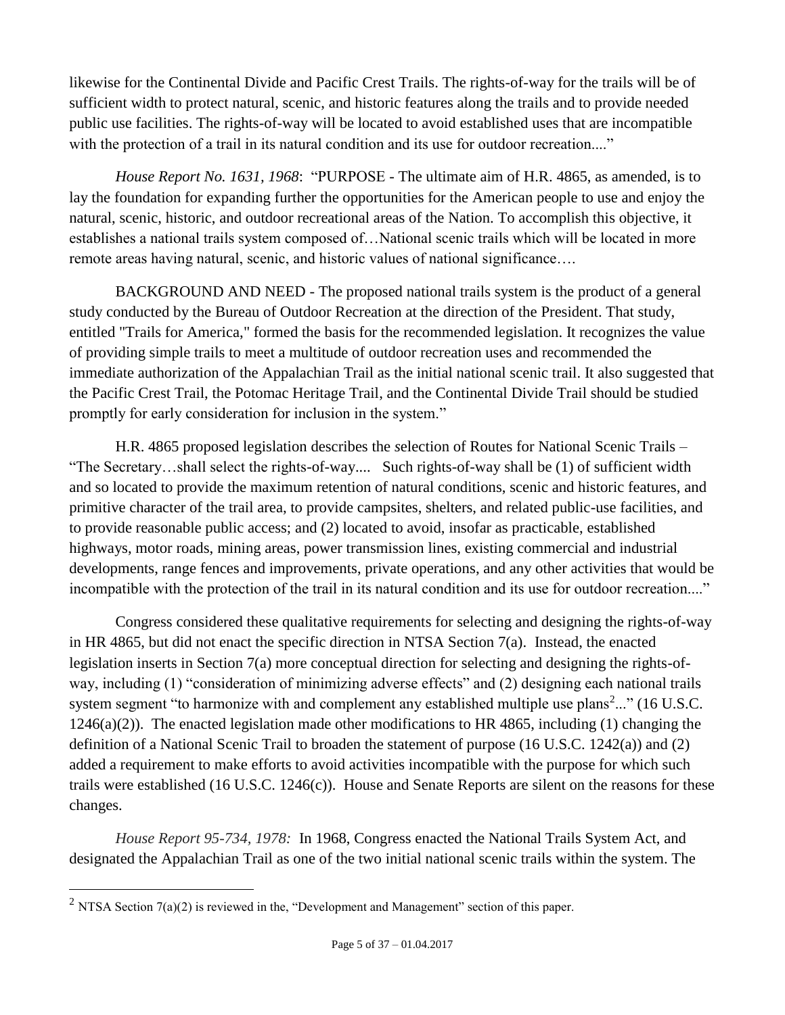likewise for the Continental Divide and Pacific Crest Trails. The rights-of-way for the trails will be of sufficient width to protect natural, scenic, and historic features along the trails and to provide needed public use facilities. The rights-of-way will be located to avoid established uses that are incompatible with the protection of a trail in its natural condition and its use for outdoor recreation...."

*House Report No. 1631, 1968*: "PURPOSE - The ultimate aim of H.R. 4865, as amended, is to lay the foundation for expanding further the opportunities for the American people to use and enjoy the natural, scenic, historic, and outdoor recreational areas of the Nation. To accomplish this objective, it establishes a national trails system composed of…National scenic trails which will be located in more remote areas having natural, scenic, and historic values of national significance….

BACKGROUND AND NEED - The proposed national trails system is the product of a general study conducted by the Bureau of Outdoor Recreation at the direction of the President. That study, entitled "Trails for America," formed the basis for the recommended legislation. It recognizes the value of providing simple trails to meet a multitude of outdoor recreation uses and recommended the immediate authorization of the Appalachian Trail as the initial national scenic trail. It also suggested that the Pacific Crest Trail, the Potomac Heritage Trail, and the Continental Divide Trail should be studied promptly for early consideration for inclusion in the system."

H.R. 4865 proposed legislation describes the *s*election of Routes for National Scenic Trails – "The Secretary…shall select the rights-of-way.... Such rights-of-way shall be (1) of sufficient width and so located to provide the maximum retention of natural conditions, scenic and historic features, and primitive character of the trail area, to provide campsites, shelters, and related public-use facilities, and to provide reasonable public access; and (2) located to avoid, insofar as practicable, established highways, motor roads, mining areas, power transmission lines, existing commercial and industrial developments, range fences and improvements, private operations, and any other activities that would be incompatible with the protection of the trail in its natural condition and its use for outdoor recreation...."

Congress considered these qualitative requirements for selecting and designing the rights-of-way in HR 4865, but did not enact the specific direction in NTSA Section 7(a). Instead, the enacted legislation inserts in Section 7(a) more conceptual direction for selecting and designing the rights-ofway, including (1) "consideration of minimizing adverse effects" and (2) designing each national trails system segment "to harmonize with and complement any established multiple use plans<sup>2</sup>..." (16 U.S.C. 1246(a)(2)). The enacted legislation made other modifications to HR 4865, including (1) changing the definition of a National Scenic Trail to broaden the statement of purpose (16 U.S.C. 1242(a)) and (2) added a requirement to make efforts to avoid activities incompatible with the purpose for which such trails were established (16 U.S.C. 1246(c)). House and Senate Reports are silent on the reasons for these changes.

*House Report 95-734, 1978:* In 1968, Congress enacted the National Trails System Act, and designated the Appalachian Trail as one of the two initial national scenic trails within the system. The

<sup>&</sup>lt;sup>2</sup> NTSA Section  $7(a)(2)$  is reviewed in the, "Development and Management" section of this paper.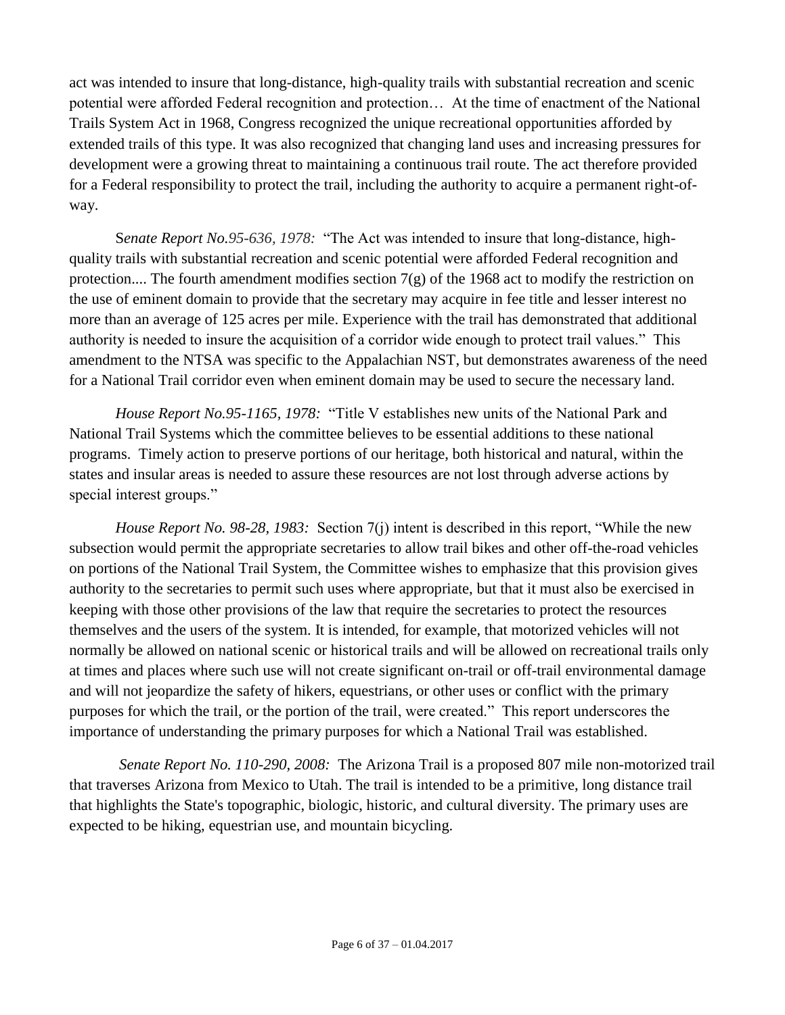act was intended to insure that long-distance, high-quality trails with substantial recreation and scenic potential were afforded Federal recognition and protection… At the time of enactment of the National Trails System Act in 1968, Congress recognized the unique recreational opportunities afforded by extended trails of this type. It was also recognized that changing land uses and increasing pressures for development were a growing threat to maintaining a continuous trail route. The act therefore provided for a Federal responsibility to protect the trail, including the authority to acquire a permanent right-ofway.

S*enate Report No.95-636, 1978:* "The Act was intended to insure that long-distance, highquality trails with substantial recreation and scenic potential were afforded Federal recognition and protection.... The fourth amendment modifies section  $7(g)$  of the 1968 act to modify the restriction on the use of eminent domain to provide that the secretary may acquire in fee title and lesser interest no more than an average of 125 acres per mile. Experience with the trail has demonstrated that additional authority is needed to insure the acquisition of a corridor wide enough to protect trail values." This amendment to the NTSA was specific to the Appalachian NST, but demonstrates awareness of the need for a National Trail corridor even when eminent domain may be used to secure the necessary land.

*House Report No.95-1165, 1978:* "Title V establishes new units of the National Park and National Trail Systems which the committee believes to be essential additions to these national programs. Timely action to preserve portions of our heritage, both historical and natural, within the states and insular areas is needed to assure these resources are not lost through adverse actions by special interest groups."

*House Report No. 98-28, 1983:* Section 7(j) intent is described in this report, "While the new subsection would permit the appropriate secretaries to allow trail bikes and other off-the-road vehicles on portions of the National Trail System, the Committee wishes to emphasize that this provision gives authority to the secretaries to permit such uses where appropriate, but that it must also be exercised in keeping with those other provisions of the law that require the secretaries to protect the resources themselves and the users of the system. It is intended, for example, that motorized vehicles will not normally be allowed on national scenic or historical trails and will be allowed on recreational trails only at times and places where such use will not create significant on-trail or off-trail environmental damage and will not jeopardize the safety of hikers, equestrians, or other uses or conflict with the primary purposes for which the trail, or the portion of the trail, were created." This report underscores the importance of understanding the primary purposes for which a National Trail was established.

<span id="page-5-0"></span>*Senate Report No. 110-290, 2008:* The Arizona Trail is a proposed 807 mile non-motorized trail that traverses Arizona from Mexico to Utah. The trail is intended to be a primitive, long distance trail that highlights the State's topographic, biologic, historic, and cultural diversity. The primary uses are expected to be hiking, equestrian use, and mountain bicycling.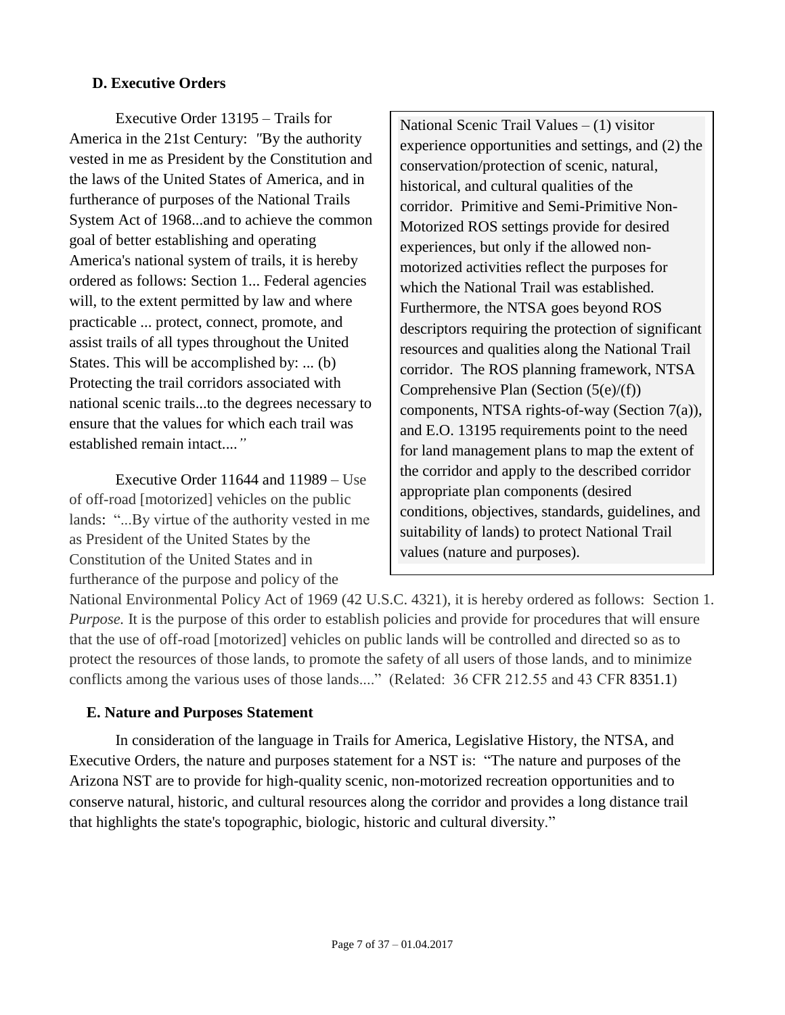#### **D. Executive Orders**

Executive Order 13195 – Trails for America in the 21st Century: *"*By the authority vested in me as President by the Constitution and the laws of the United States of America, and in furtherance of purposes of the National Trails System Act of 1968...and to achieve the common goal of better establishing and operating America's national system of trails, it is hereby ordered as follows: Section 1... Federal agencies will, to the extent permitted by law and where practicable ... protect, connect, promote, and assist trails of all types throughout the United States. This will be accomplished by: ... (b) Protecting the trail corridors associated with national scenic trails...to the degrees necessary to ensure that the values for which each trail was established remain intact....*"*

Executive Order 11644 and 11989 – Use of off-road [motorized] vehicles on the public lands: "...By virtue of the authority vested in me as President of the United States by the Constitution of the United States and in furtherance of the purpose and policy of the

National Scenic Trail Values – (1) visitor experience opportunities and settings, and (2) the conservation/protection of scenic, natural, historical, and cultural qualities of the corridor. Primitive and Semi-Primitive Non-Motorized ROS settings provide for desired experiences, but only if the allowed nonmotorized activities reflect the purposes for which the National Trail was established. Furthermore, the NTSA goes beyond ROS descriptors requiring the protection of significant resources and qualities along the National Trail corridor. The ROS planning framework, NTSA Comprehensive Plan (Section (5(e)/(f)) components, NTSA rights-of-way (Section 7(a)), and E.O. 13195 requirements point to the need for land management plans to map the extent of the corridor and apply to the described corridor appropriate plan components (desired conditions, objectives, standards, guidelines, and suitability of lands) to protect National Trail values (nature and purposes).

National Environmental Policy Act of 1969 (42 U.S.C. 4321), it is hereby ordered as follows: Section 1. *Purpose.* It is the purpose of this order to establish policies and provide for procedures that will ensure that the use of off-road [motorized] vehicles on public lands will be controlled and directed so as to protect the resources of those lands, to promote the safety of all users of those lands, and to minimize conflicts among the various uses of those lands...." (Related: 36 CFR 212.55 and 43 CFR 8351.1)

#### <span id="page-6-0"></span>**E. Nature and Purposes Statement**

In consideration of the language in Trails for America, Legislative History, the NTSA, and Executive Orders, the nature and purposes statement for a NST is: "The nature and purposes of the Arizona NST are to provide for high-quality scenic, non-motorized recreation opportunities and to conserve natural, historic, and cultural resources along the corridor and provides a long distance trail that highlights the state's topographic, biologic, historic and cultural diversity."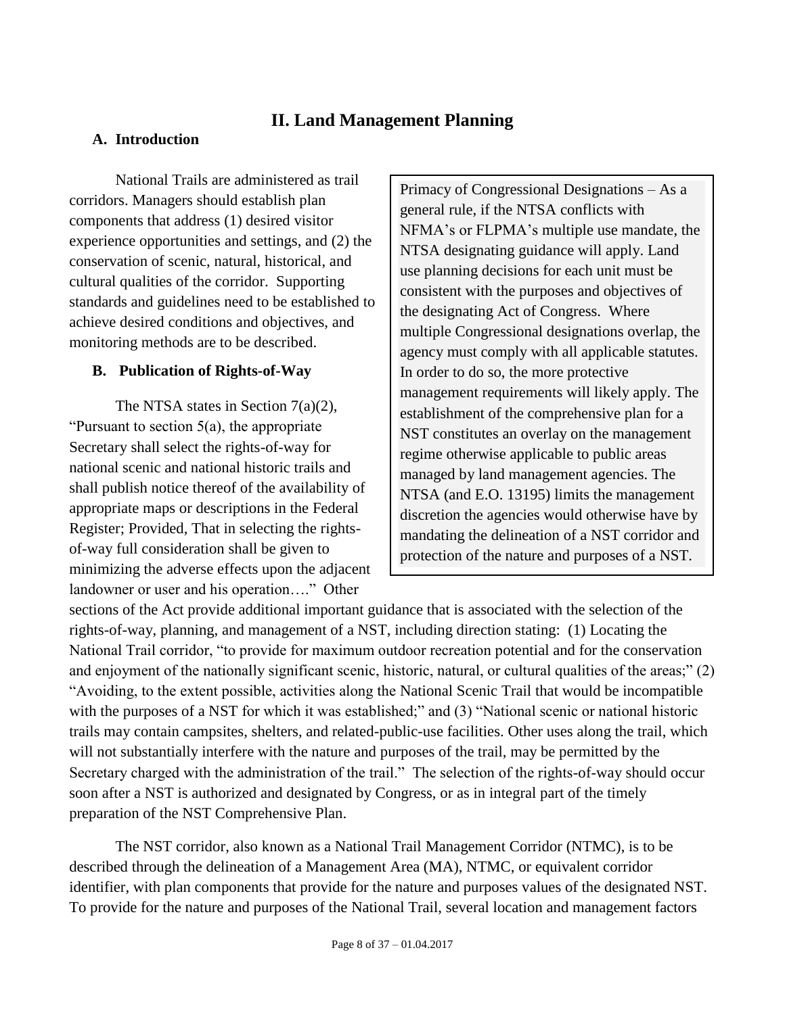# **II. Land Management Planning**

#### <span id="page-7-1"></span><span id="page-7-0"></span>**A. Introduction**

National Trails are administered as trail corridors. Managers should establish plan components that address (1) desired visitor experience opportunities and settings, and (2) the conservation of scenic, natural, historical, and cultural qualities of the corridor. Supporting standards and guidelines need to be established to achieve desired conditions and objectives, and monitoring methods are to be described.

#### <span id="page-7-2"></span>**B. Publication of Rights-of-Way**

The NTSA states in Section 7(a)(2), "Pursuant to section  $5(a)$ , the appropriate" Secretary shall select the rights-of-way for national scenic and national historic trails and shall publish notice thereof of the availability of appropriate maps or descriptions in the Federal Register; Provided, That in selecting the rightsof-way full consideration shall be given to minimizing the adverse effects upon the adjacent landowner or user and his operation…." Other

Primacy of Congressional Designations – As a general rule, if the NTSA conflicts with NFMA's or FLPMA's multiple use mandate, the NTSA designating guidance will apply. Land use planning decisions for each unit must be consistent with the purposes and objectives of the designating Act of Congress. Where multiple Congressional designations overlap, the agency must comply with all applicable statutes. In order to do so, the more protective management requirements will likely apply. The establishment of the comprehensive plan for a NST constitutes an overlay on the management regime otherwise applicable to public areas managed by land management agencies. The NTSA (and E.O. 13195) limits the management discretion the agencies would otherwise have by mandating the delineation of a NST corridor and protection of the nature and purposes of a NST.

sections of the Act provide additional important guidance that is associated with the selection of the rights-of-way, planning, and management of a NST, including direction stating: (1) Locating the National Trail corridor, "to provide for maximum outdoor recreation potential and for the conservation and enjoyment of the nationally significant scenic, historic, natural, or cultural qualities of the areas;" (2) "Avoiding, to the extent possible, activities along the National Scenic Trail that would be incompatible with the purposes of a NST for which it was established;" and (3) "National scenic or national historic trails may contain campsites, shelters, and related-public-use facilities. Other uses along the trail, which will not substantially interfere with the nature and purposes of the trail, may be permitted by the Secretary charged with the administration of the trail." The selection of the rights-of-way should occur soon after a NST is authorized and designated by Congress, or as in integral part of the timely preparation of the NST Comprehensive Plan.

The NST corridor, also known as a National Trail Management Corridor (NTMC), is to be described through the delineation of a Management Area (MA), NTMC, or equivalent corridor identifier, with plan components that provide for the nature and purposes values of the designated NST. To provide for the nature and purposes of the National Trail, several location and management factors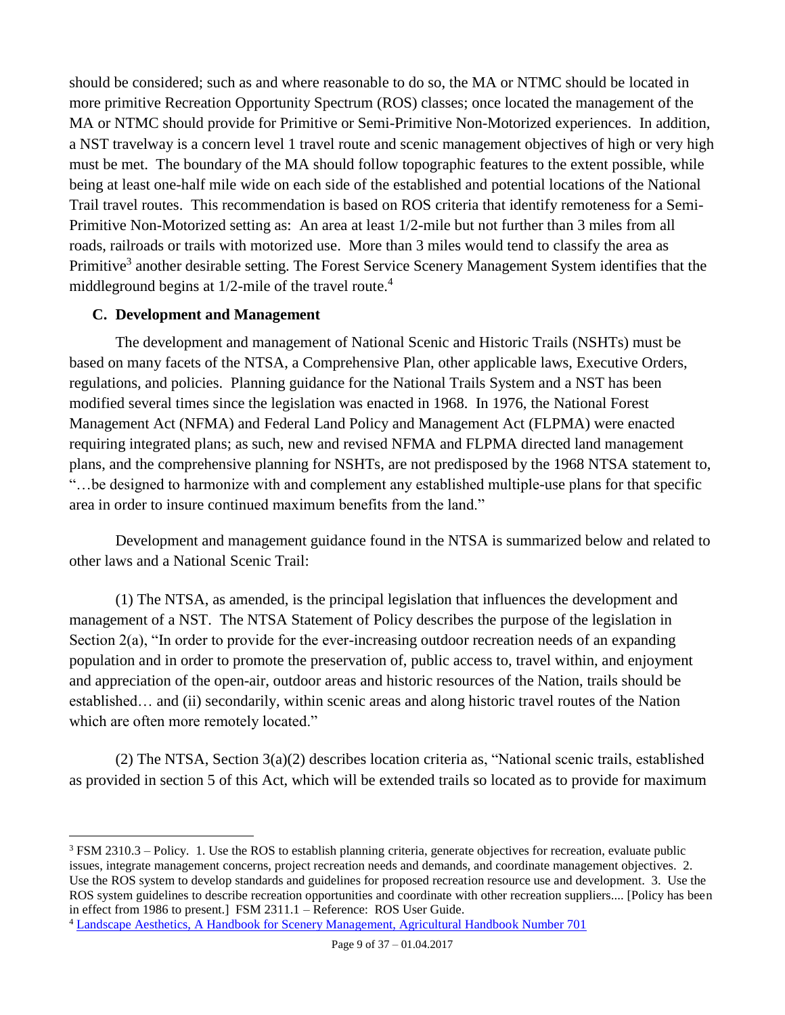should be considered; such as and where reasonable to do so, the MA or NTMC should be located in more primitive Recreation Opportunity Spectrum (ROS) classes; once located the management of the MA or NTMC should provide for Primitive or Semi-Primitive Non-Motorized experiences. In addition, a NST travelway is a concern level 1 travel route and scenic management objectives of high or very high must be met. The boundary of the MA should follow topographic features to the extent possible, while being at least one-half mile wide on each side of the established and potential locations of the National Trail travel routes. This recommendation is based on ROS criteria that identify remoteness for a Semi-Primitive Non-Motorized setting as: An area at least 1/2-mile but not further than 3 miles from all roads, railroads or trails with motorized use. More than 3 miles would tend to classify the area as Primitive<sup>3</sup> another desirable setting. The Forest Service Scenery Management System identifies that the middleground begins at  $1/2$ -mile of the travel route.<sup>4</sup>

### <span id="page-8-0"></span>**C. Development and Management**

 $\overline{a}$ 

The development and management of National Scenic and Historic Trails (NSHTs) must be based on many facets of the NTSA, a Comprehensive Plan, other applicable laws, Executive Orders, regulations, and policies. Planning guidance for the National Trails System and a NST has been modified several times since the legislation was enacted in 1968. In 1976, the National Forest Management Act (NFMA) and Federal Land Policy and Management Act (FLPMA) were enacted requiring integrated plans; as such, new and revised NFMA and FLPMA directed land management plans, and the comprehensive planning for NSHTs, are not predisposed by the 1968 NTSA statement to, "…be designed to harmonize with and complement any established multiple-use plans for that specific area in order to insure continued maximum benefits from the land."

Development and management guidance found in the NTSA is summarized below and related to other laws and a National Scenic Trail:

(1) The NTSA, as amended, is the principal legislation that influences the development and management of a NST. The NTSA Statement of Policy describes the purpose of the legislation in Section 2(a), "In order to provide for the ever-increasing outdoor recreation needs of an expanding population and in order to promote the preservation of, public access to, travel within, and enjoyment and appreciation of the open-air, outdoor areas and historic resources of the Nation, trails should be established… and (ii) secondarily, within scenic areas and along historic travel routes of the Nation which are often more remotely located."

(2) The NTSA, Section 3(a)(2) describes location criteria as, "National scenic trails, established as provided in section 5 of this Act, which will be extended trails so located as to provide for maximum

<sup>3</sup> FSM 2310.3 – Policy. 1. Use the ROS to establish planning criteria, generate objectives for recreation, evaluate public issues, integrate management concerns, project recreation needs and demands, and coordinate management objectives. 2. Use the ROS system to develop standards and guidelines for proposed recreation resource use and development. 3. Use the ROS system guidelines to describe recreation opportunities and coordinate with other recreation suppliers.... [Policy has been in effect from 1986 to present.] FSM 2311.1 – Reference: [ROS User Guide.](http://www.fs.fed.us/cdt/carrying_capacity/rosguide_1982.pdf)

<sup>4</sup> [Landscape Aesthetics, A Handbook for Scenery Management, Agricultural Handbook Number 701](http://www.fs.fed.us/cdt/carrying_capacity/landscape_aesthetics_handbook_701_no_append.pdf)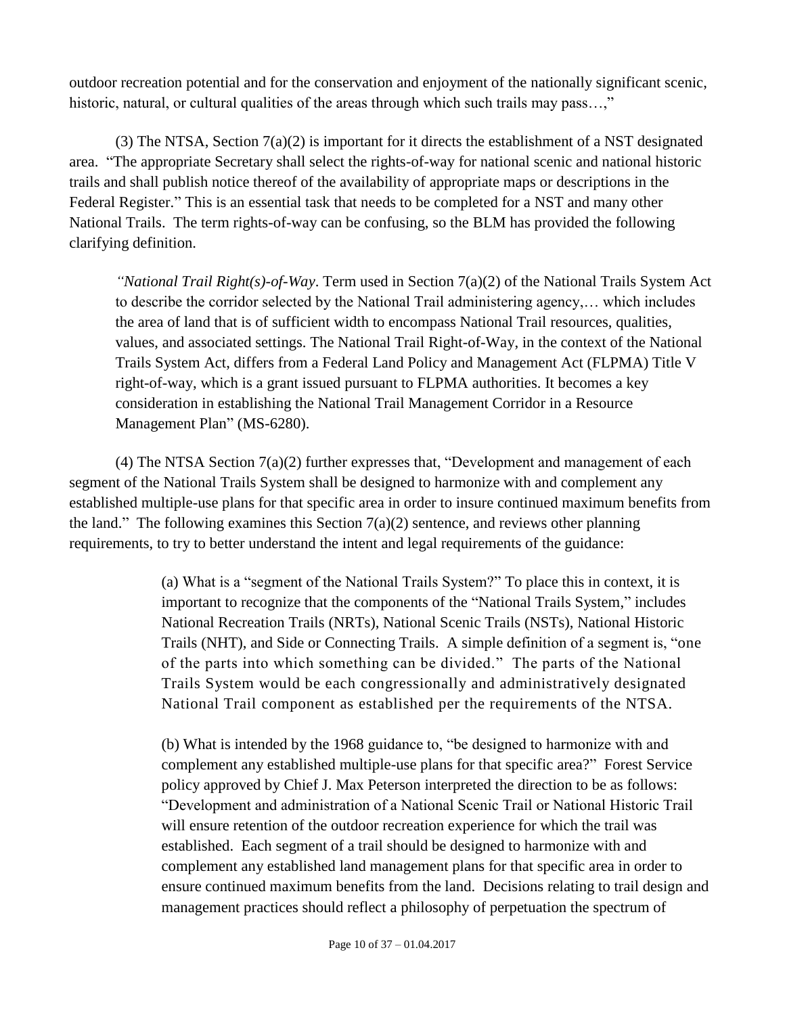outdoor recreation potential and for the conservation and enjoyment of the nationally significant scenic, historic, natural, or cultural qualities of the areas through which such trails may pass...,"

(3) The NTSA, Section 7(a)(2) is important for it directs the establishment of a NST designated area. "The appropriate Secretary shall select the rights-of-way for national scenic and national historic trails and shall publish notice thereof of the availability of appropriate maps or descriptions in the Federal Register." This is an essential task that needs to be completed for a NST and many other National Trails. The term rights-of-way can be confusing, so the BLM has provided the following clarifying definition.

*"National Trail Right(s)-of-Way*. Term used in Section 7(a)(2) of the National Trails System Act to describe the corridor selected by the National Trail administering agency,… which includes the area of land that is of sufficient width to encompass National Trail resources, qualities, values, and associated settings. The National Trail Right-of-Way, in the context of the National Trails System Act, differs from a Federal Land Policy and Management Act (FLPMA) Title V right-of-way, which is a grant issued pursuant to FLPMA authorities. It becomes a key consideration in establishing the National Trail Management Corridor in a Resource Management Plan" (MS-6280).

(4) The NTSA Section 7(a)(2) further expresses that, "Development and management of each segment of the National Trails System shall be designed to harmonize with and complement any established multiple-use plans for that specific area in order to insure continued maximum benefits from the land." The following examines this Section  $7(a)(2)$  sentence, and reviews other planning requirements, to try to better understand the intent and legal requirements of the guidance:

> (a) What is a "segment of the National Trails System?" To place this in context, it is important to recognize that the components of the "National Trails System," includes National Recreation Trails (NRTs), National Scenic Trails (NSTs), National Historic Trails (NHT), and Side or Connecting Trails. A simple definition of a segment is, "one of the parts into which something can be divided." The parts of the National Trails System would be each congressionally and administratively designated National Trail component as established per the requirements of the NTSA.

(b) What is intended by the 1968 guidance to, "be designed to harmonize with and complement any established multiple-use plans for that specific area?" Forest Service policy approved by Chief J. Max Peterson interpreted the direction to be as follows: "Development and administration of a National Scenic Trail or National Historic Trail will ensure retention of the outdoor recreation experience for which the trail was established. Each segment of a trail should be designed to harmonize with and complement any established land management plans for that specific area in order to ensure continued maximum benefits from the land. Decisions relating to trail design and management practices should reflect a philosophy of perpetuation the spectrum of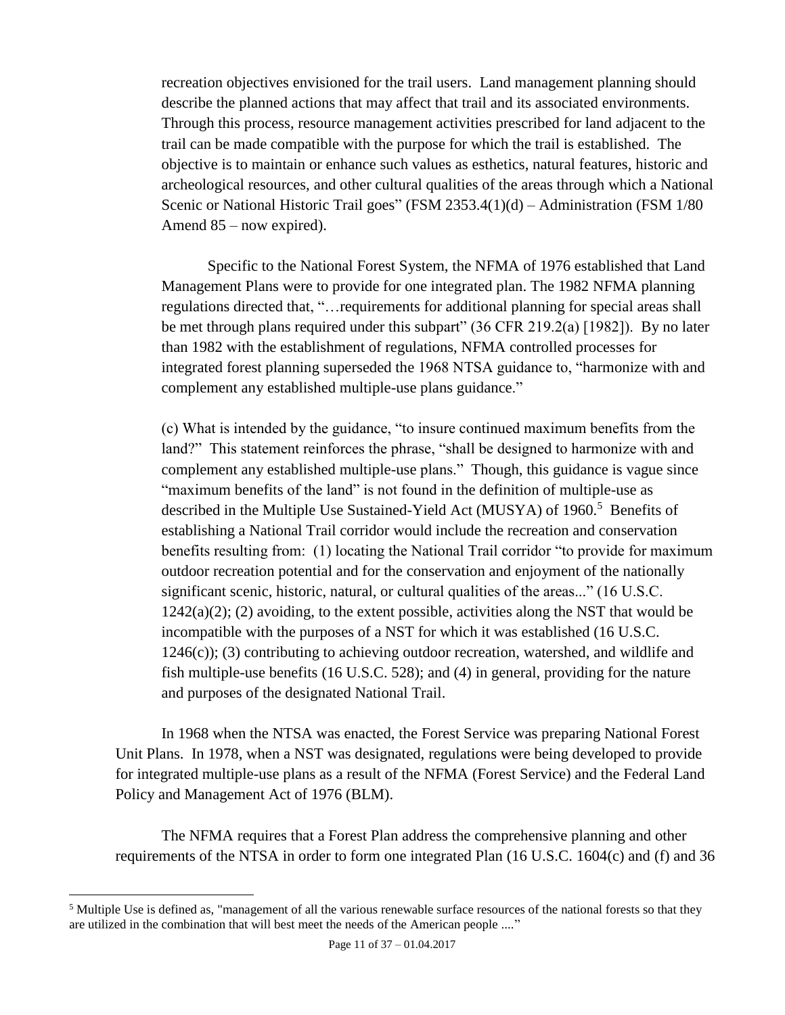recreation objectives envisioned for the trail users. Land management planning should describe the planned actions that may affect that trail and its associated environments. Through this process, resource management activities prescribed for land adjacent to the trail can be made compatible with the purpose for which the trail is established. The objective is to maintain or enhance such values as esthetics, natural features, historic and archeological resources, and other cultural qualities of the areas through which a National Scenic or National Historic Trail goes" (FSM 2353.4(1)(d) – Administration (FSM 1/80 Amend 85 – now expired).

Specific to the National Forest System, the NFMA of 1976 established that Land Management Plans were to provide for one integrated plan. The 1982 NFMA planning regulations directed that, "…requirements for additional planning for special areas shall be met through plans required under this subpart" (36 CFR 219.2(a) [1982]). By no later than 1982 with the establishment of regulations, NFMA controlled processes for integrated forest planning superseded the 1968 NTSA guidance to, "harmonize with and complement any established multiple-use plans guidance."

(c) What is intended by the guidance, "to insure continued maximum benefits from the land?" This statement reinforces the phrase, "shall be designed to harmonize with and complement any established multiple-use plans." Though, this guidance is vague since "maximum benefits of the land" is not found in the definition of multiple-use as described in the Multiple Use Sustained-Yield Act (MUSYA) of 1960. <sup>5</sup> Benefits of establishing a National Trail corridor would include the recreation and conservation benefits resulting from: (1) locating the National Trail corridor "to provide for maximum outdoor recreation potential and for the conservation and enjoyment of the nationally significant scenic, historic, natural, or cultural qualities of the areas..." (16 U.S.C.  $1242(a)(2)$ ; (2) avoiding, to the extent possible, activities along the NST that would be incompatible with the purposes of a NST for which it was established (16 U.S.C.  $1246(c)$ ; (3) contributing to achieving outdoor recreation, watershed, and wildlife and fish multiple-use benefits (16 U.S.C. 528); and (4) in general, providing for the nature and purposes of the designated National Trail.

In 1968 when the NTSA was enacted, the Forest Service was preparing National Forest Unit Plans. In 1978, when a NST was designated, regulations were being developed to provide for integrated multiple-use plans as a result of the NFMA (Forest Service) and the Federal Land Policy and Management Act of 1976 (BLM).

The NFMA requires that a Forest Plan address the comprehensive planning and other requirements of the NTSA in order to form one integrated Plan (16 U.S.C. 1604(c) and (f) and 36

<sup>&</sup>lt;sup>5</sup> Multiple Use is defined as, "management of all the various renewable surface resources of the national forests so that they are utilized in the combination that will best meet the needs of the American people ...."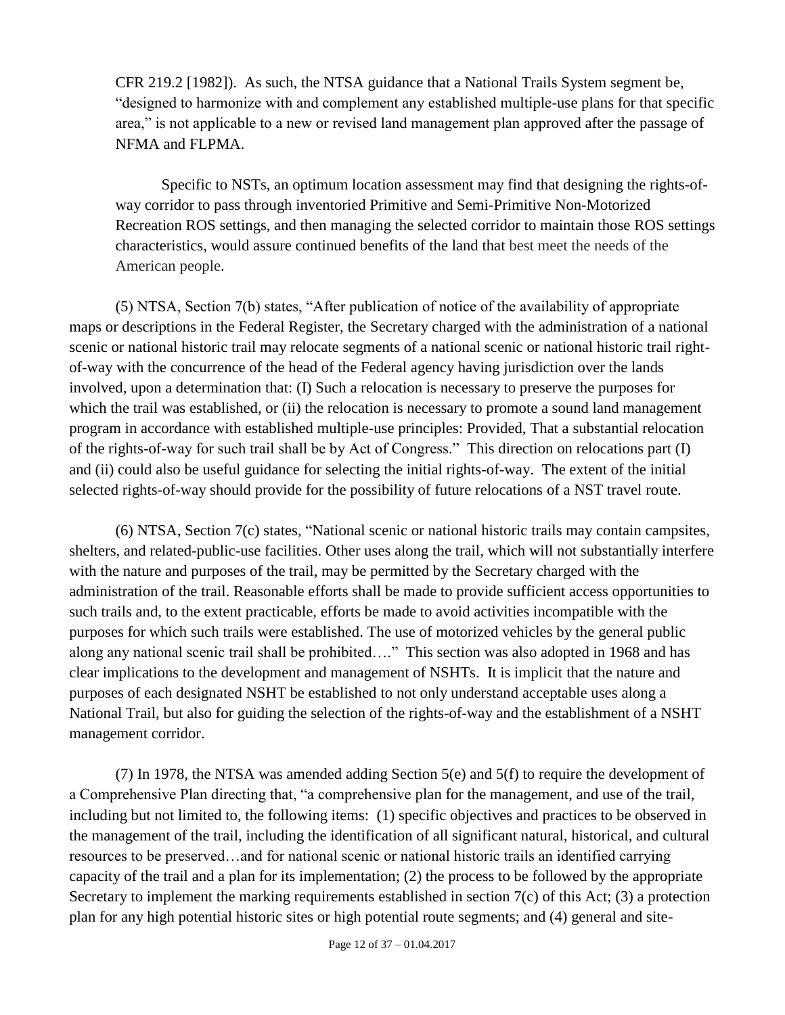CFR 219.2 [1982]). As such, the NTSA guidance that a National Trails System segment be, "designed to harmonize with and complement any established multiple-use plans for that specific area," is not applicable to a new or revised land management plan approved after the passage of NFMA and FLPMA.

Specific to NSTs, an optimum location assessment may find that designing the rights-ofway corridor to pass through inventoried Primitive and Semi-Primitive Non-Motorized Recreation ROS settings, and then managing the selected corridor to maintain those ROS settings characteristics, would assure continued benefits of the land that best meet the needs of the American people.

(5) NTSA, Section 7(b) states, "After publication of notice of the availability of appropriate maps or descriptions in the Federal Register, the Secretary charged with the administration of a national scenic or national historic trail may relocate segments of a national scenic or national historic trail rightof-way with the concurrence of the head of the Federal agency having jurisdiction over the lands involved, upon a determination that: (I) Such a relocation is necessary to preserve the purposes for which the trail was established, or (ii) the relocation is necessary to promote a sound land management program in accordance with established multiple-use principles: Provided, That a substantial relocation of the rights-of-way for such trail shall be by Act of Congress." This direction on relocations part (I) and (ii) could also be useful guidance for selecting the initial rights-of-way. The extent of the initial selected rights-of-way should provide for the possibility of future relocations of a NST travel route.

(6) NTSA, Section 7(c) states, "National scenic or national historic trails may contain campsites, shelters, and related-public-use facilities. Other uses along the trail, which will not substantially interfere with the nature and purposes of the trail, may be permitted by the Secretary charged with the administration of the trail. Reasonable efforts shall be made to provide sufficient access opportunities to such trails and, to the extent practicable, efforts be made to avoid activities incompatible with the purposes for which such trails were established. The use of motorized vehicles by the general public along any national scenic trail shall be prohibited…." This section was also adopted in 1968 and has clear implications to the development and management of NSHTs. It is implicit that the nature and purposes of each designated NSHT be established to not only understand acceptable uses along a National Trail, but also for guiding the selection of the rights-of-way and the establishment of a NSHT management corridor.

(7) In 1978, the NTSA was amended adding Section 5(e) and 5(f) to require the development of a Comprehensive Plan directing that, "a comprehensive plan for the management, and use of the trail, including but not limited to, the following items: (1) specific objectives and practices to be observed in the management of the trail, including the identification of all significant natural, historical, and cultural resources to be preserved…and for national scenic or national historic trails an identified carrying capacity of the trail and a plan for its implementation; (2) the process to be followed by the appropriate Secretary to implement the marking requirements established in section 7(c) of this Act; (3) a protection plan for any high potential historic sites or high potential route segments; and (4) general and site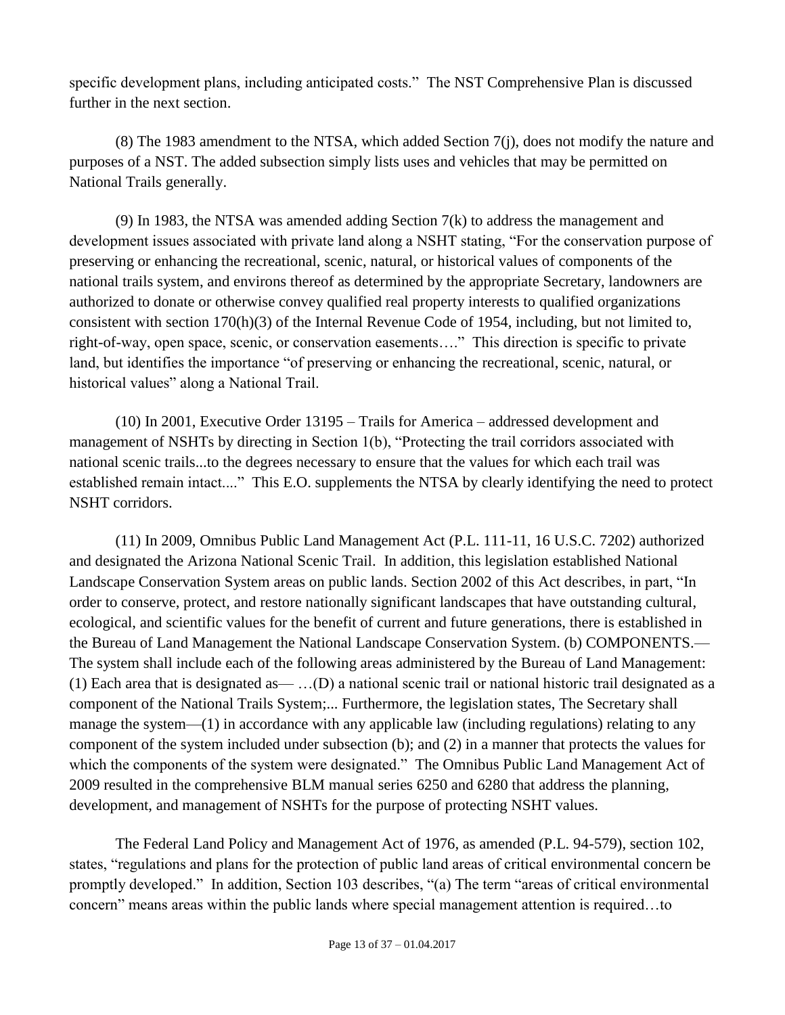specific development plans, including anticipated costs." The NST Comprehensive Plan is discussed further in the next section.

(8) The 1983 amendment to the NTSA, which added Section 7(j), does not modify the nature and purposes of a NST. The added subsection simply lists uses and vehicles that may be permitted on National Trails generally.

(9) In 1983, the NTSA was amended adding Section 7(k) to address the management and development issues associated with private land along a NSHT stating, "For the conservation purpose of preserving or enhancing the recreational, scenic, natural, or historical values of components of the national trails system, and environs thereof as determined by the appropriate Secretary, landowners are authorized to donate or otherwise convey qualified real property interests to qualified organizations consistent with section 170(h)(3) of the Internal Revenue Code of 1954, including, but not limited to, right-of-way, open space, scenic, or conservation easements…." This direction is specific to private land, but identifies the importance "of preserving or enhancing the recreational, scenic, natural, or historical values" along a National Trail.

(10) In 2001, Executive Order 13195 – Trails for America – addressed development and management of NSHTs by directing in Section 1(b), "Protecting the trail corridors associated with national scenic trails...to the degrees necessary to ensure that the values for which each trail was established remain intact...." This E.O. supplements the NTSA by clearly identifying the need to protect NSHT corridors.

(11) In 2009, Omnibus Public Land Management Act (P.L. 111-11, 16 U.S.C. 7202) authorized and designated the Arizona National Scenic Trail. In addition, this legislation established National Landscape Conservation System areas on public lands. Section 2002 of this Act describes, in part, "In order to conserve, protect, and restore nationally significant landscapes that have outstanding cultural, ecological, and scientific values for the benefit of current and future generations, there is established in the Bureau of Land Management the National Landscape Conservation System. (b) COMPONENTS.— The system shall include each of the following areas administered by the Bureau of Land Management: (1) Each area that is designated as— …(D) a national scenic trail or national historic trail designated as a component of the National Trails System;... Furthermore, the legislation states, The Secretary shall manage the system—(1) in accordance with any applicable law (including regulations) relating to any component of the system included under subsection (b); and (2) in a manner that protects the values for which the components of the system were designated." The Omnibus Public Land Management Act of 2009 resulted in the comprehensive BLM manual series 6250 and 6280 that address the planning, development, and management of NSHTs for the purpose of protecting NSHT values.

The Federal Land Policy and Management Act of 1976, as amended (P.L. 94-579), section 102, states, "regulations and plans for the protection of public land areas of critical environmental concern be promptly developed." In addition, Section 103 describes, "(a) The term "areas of critical environmental concern" means areas within the public lands where special management attention is required…to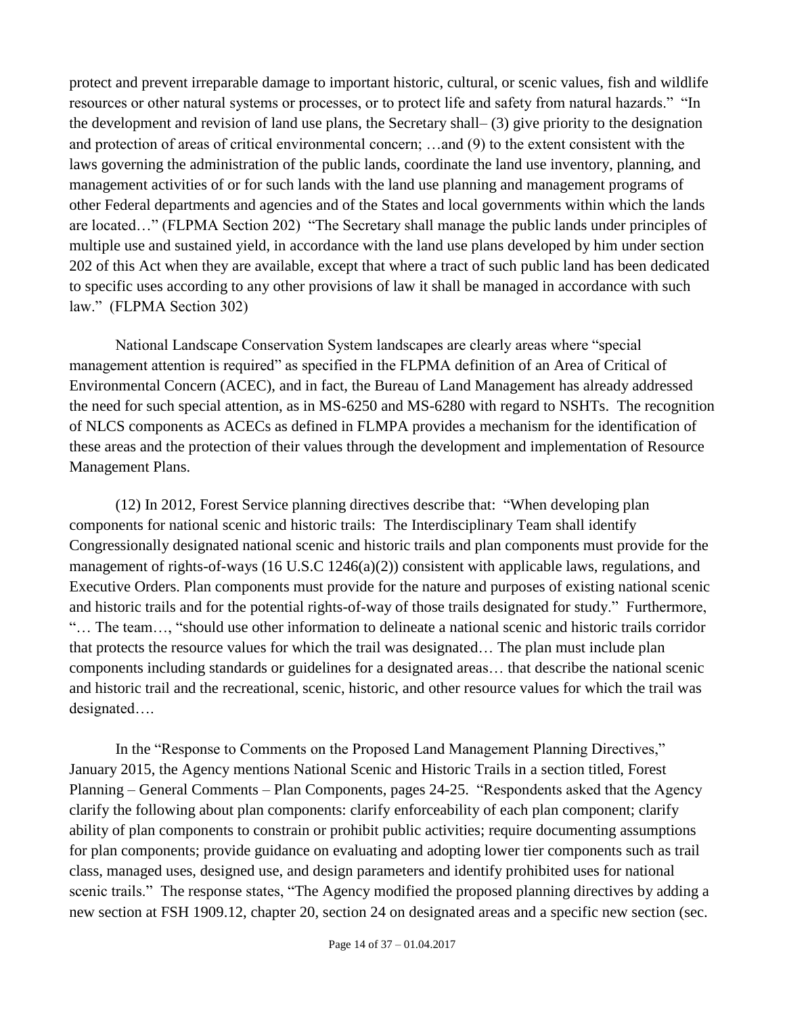protect and prevent irreparable damage to important historic, cultural, or scenic values, fish and wildlife resources or other natural systems or processes, or to protect life and safety from natural hazards." "In the development and revision of land use plans, the Secretary shall– (3) give priority to the designation and protection of areas of critical environmental concern; …and (9) to the extent consistent with the laws governing the administration of the public lands, coordinate the land use inventory, planning, and management activities of or for such lands with the land use planning and management programs of other Federal departments and agencies and of the States and local governments within which the lands are located…" (FLPMA Section 202) "The Secretary shall manage the public lands under principles of multiple use and sustained yield, in accordance with the land use plans developed by him under section 202 of this Act when they are available, except that where a tract of such public land has been dedicated to specific uses according to any other provisions of law it shall be managed in accordance with such law." (FLPMA Section 302)

National Landscape Conservation System landscapes are clearly areas where "special management attention is required" as specified in the FLPMA definition of an Area of Critical of Environmental Concern (ACEC), and in fact, the Bureau of Land Management has already addressed the need for such special attention, as in MS-6250 and MS-6280 with regard to NSHTs. The recognition of NLCS components as ACECs as defined in FLMPA provides a mechanism for the identification of these areas and the protection of their values through the development and implementation of Resource Management Plans.

(12) In 2012, Forest Service planning directives describe that: "When developing plan components for national scenic and historic trails: The Interdisciplinary Team shall identify Congressionally designated national scenic and historic trails and plan components must provide for the management of rights-of-ways (16 U.S.C 1246(a)(2)) consistent with applicable laws, regulations, and Executive Orders. Plan components must provide for the nature and purposes of existing national scenic and historic trails and for the potential rights-of-way of those trails designated for study." Furthermore, "… The team…, "should use other information to delineate a national scenic and historic trails corridor that protects the resource values for which the trail was designated… The plan must include plan components including standards or guidelines for a designated areas… that describe the national scenic and historic trail and the recreational, scenic, historic, and other resource values for which the trail was designated….

In the "Response to Comments on the Proposed Land Management Planning Directives," January 2015, the Agency mentions National Scenic and Historic Trails in a section titled, Forest Planning – General Comments – Plan Components, pages 24-25. "Respondents asked that the Agency clarify the following about plan components: clarify enforceability of each plan component; clarify ability of plan components to constrain or prohibit public activities; require documenting assumptions for plan components; provide guidance on evaluating and adopting lower tier components such as trail class, managed uses, designed use, and design parameters and identify prohibited uses for national scenic trails." The response states, "The Agency modified the proposed planning directives by adding a new section at FSH 1909.12, chapter 20, section 24 on designated areas and a specific new section (sec.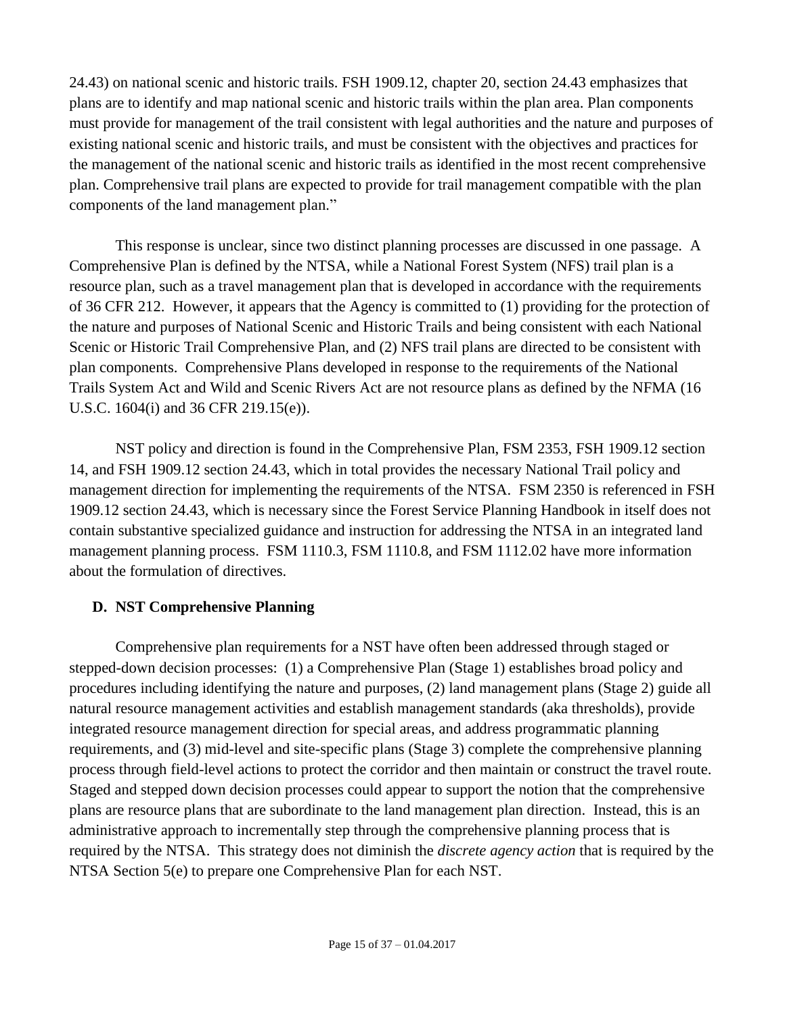24.43) on national scenic and historic trails. FSH 1909.12, chapter 20, section 24.43 emphasizes that plans are to identify and map national scenic and historic trails within the plan area. Plan components must provide for management of the trail consistent with legal authorities and the nature and purposes of existing national scenic and historic trails, and must be consistent with the objectives and practices for the management of the national scenic and historic trails as identified in the most recent comprehensive plan. Comprehensive trail plans are expected to provide for trail management compatible with the plan components of the land management plan."

This response is unclear, since two distinct planning processes are discussed in one passage. A Comprehensive Plan is defined by the NTSA, while a National Forest System (NFS) trail plan is a resource plan, such as a travel management plan that is developed in accordance with the requirements of 36 CFR 212. However, it appears that the Agency is committed to (1) providing for the protection of the nature and purposes of National Scenic and Historic Trails and being consistent with each National Scenic or Historic Trail Comprehensive Plan, and (2) NFS trail plans are directed to be consistent with plan components. Comprehensive Plans developed in response to the requirements of the National Trails System Act and Wild and Scenic Rivers Act are not resource plans as defined by the NFMA (16 U.S.C. 1604(i) and 36 CFR 219.15(e)).

NST policy and direction is found in the Comprehensive Plan, FSM 2353, FSH 1909.12 section 14, and FSH 1909.12 section 24.43, which in total provides the necessary National Trail policy and management direction for implementing the requirements of the NTSA. FSM 2350 is referenced in FSH 1909.12 section 24.43, which is necessary since the Forest Service Planning Handbook in itself does not contain substantive specialized guidance and instruction for addressing the NTSA in an integrated land management planning process. FSM 1110.3, FSM 1110.8, and FSM 1112.02 have more information about the formulation of directives.

# <span id="page-14-0"></span>**D. NST Comprehensive Planning**

Comprehensive plan requirements for a NST have often been addressed through staged or stepped-down decision processes: (1) a Comprehensive Plan (Stage 1) establishes broad policy and procedures including identifying the nature and purposes, (2) land management plans (Stage 2) guide all natural resource management activities and establish management standards (aka thresholds), provide integrated resource management direction for special areas, and address programmatic planning requirements, and (3) mid-level and site-specific plans (Stage 3) complete the comprehensive planning process through field-level actions to protect the corridor and then maintain or construct the travel route. Staged and stepped down decision processes could appear to support the notion that the comprehensive plans are resource plans that are subordinate to the land management plan direction. Instead, this is an administrative approach to incrementally step through the comprehensive planning process that is required by the NTSA. This strategy does not diminish the *discrete agency action* that is required by the NTSA Section 5(e) to prepare one Comprehensive Plan for each NST.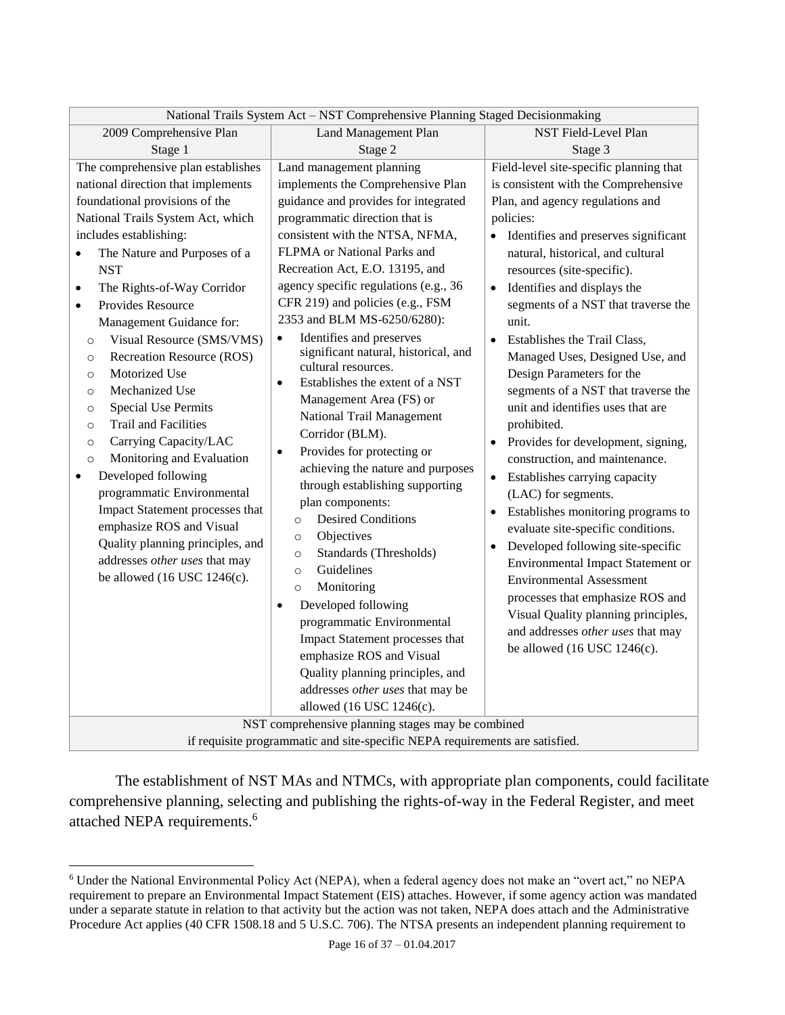| National Trails System Act - NST Comprehensive Planning Staged Decisionmaking |                                              |                                                   |  |
|-------------------------------------------------------------------------------|----------------------------------------------|---------------------------------------------------|--|
| 2009 Comprehensive Plan                                                       | <b>Land Management Plan</b>                  | NST Field-Level Plan                              |  |
| Stage 1                                                                       | Stage 2                                      | Stage 3                                           |  |
| The comprehensive plan establishes                                            | Land management planning                     | Field-level site-specific planning that           |  |
| national direction that implements                                            | implements the Comprehensive Plan            | is consistent with the Comprehensive              |  |
| foundational provisions of the                                                | guidance and provides for integrated         | Plan, and agency regulations and                  |  |
| National Trails System Act, which                                             | programmatic direction that is               | policies:                                         |  |
| includes establishing:                                                        | consistent with the NTSA, NFMA,              | Identifies and preserves significant<br>$\bullet$ |  |
| The Nature and Purposes of a                                                  | FLPMA or National Parks and                  | natural, historical, and cultural                 |  |
| <b>NST</b>                                                                    | Recreation Act, E.O. 13195, and              | resources (site-specific).                        |  |
| The Rights-of-Way Corridor<br>$\bullet$                                       | agency specific regulations (e.g., 36        | Identifies and displays the<br>$\bullet$          |  |
| Provides Resource<br>$\bullet$                                                | CFR 219) and policies (e.g., FSM             | segments of a NST that traverse the               |  |
| Management Guidance for:                                                      | 2353 and BLM MS-6250/6280):                  | unit.                                             |  |
| Visual Resource (SMS/VMS)<br>$\circ$                                          | Identifies and preserves<br>$\bullet$        | Establishes the Trail Class,<br>$\bullet$         |  |
| Recreation Resource (ROS)<br>$\circ$                                          | significant natural, historical, and         | Managed Uses, Designed Use, and                   |  |
| Motorized Use<br>$\circ$                                                      | cultural resources.                          | Design Parameters for the                         |  |
| Mechanized Use<br>$\circ$                                                     | Establishes the extent of a NST<br>$\bullet$ | segments of a NST that traverse the               |  |
| <b>Special Use Permits</b><br>$\circ$                                         | Management Area (FS) or                      | unit and identifies uses that are                 |  |
| <b>Trail and Facilities</b><br>$\circ$                                        | National Trail Management                    | prohibited.                                       |  |
| Carrying Capacity/LAC<br>$\circ$                                              | Corridor (BLM).                              | Provides for development, signing,<br>$\bullet$   |  |
| Monitoring and Evaluation<br>$\circ$                                          | Provides for protecting or<br>$\bullet$      | construction, and maintenance.                    |  |
| Developed following<br>$\bullet$                                              | achieving the nature and purposes            | Establishes carrying capacity<br>$\bullet$        |  |
| programmatic Environmental                                                    | through establishing supporting              | (LAC) for segments.                               |  |
| Impact Statement processes that                                               | plan components:                             | Establishes monitoring programs to<br>٠           |  |
| emphasize ROS and Visual                                                      | <b>Desired Conditions</b><br>$\circ$         | evaluate site-specific conditions.                |  |
| Quality planning principles, and                                              | Objectives<br>$\circ$                        |                                                   |  |
| addresses other uses that may                                                 | Standards (Thresholds)<br>$\circ$            | Developed following site-specific<br>$\bullet$    |  |
| be allowed $(16$ USC $1246(c)$ .                                              | Guidelines<br>$\circ$                        | <b>Environmental Impact Statement or</b>          |  |
|                                                                               | Monitoring<br>$\circ$                        | <b>Environmental Assessment</b>                   |  |
|                                                                               | Developed following<br>$\bullet$             | processes that emphasize ROS and                  |  |
|                                                                               | programmatic Environmental                   | Visual Quality planning principles,               |  |
|                                                                               | Impact Statement processes that              | and addresses other uses that may                 |  |
|                                                                               | emphasize ROS and Visual                     | be allowed $(16$ USC $1246(c)$ .                  |  |
|                                                                               | Quality planning principles, and             |                                                   |  |
|                                                                               | addresses other uses that may be             |                                                   |  |
|                                                                               | allowed (16 USC 1246(c).                     |                                                   |  |
| NST comprehensive planning stages may be combined                             |                                              |                                                   |  |
| if requisite programmatic and site-specific NEPA requirements are satisfied.  |                                              |                                                   |  |

The establishment of NST MAs and NTMCs, with appropriate plan components, could facilitate comprehensive planning, selecting and publishing the rights-of-way in the Federal Register, and meet attached NEPA requirements.<sup>6</sup>

<sup>6</sup> Under the National Environmental Policy Act (NEPA), when a federal agency does not make an "overt act," no NEPA requirement to prepare an Environmental Impact Statement (EIS) attaches. However, if some agency action was mandated under a separate statute in relation to that activity but the action was not taken, NEPA does attach and the Administrative Procedure Act applies (40 CFR 1508.18 and 5 U.S.C. 706). The NTSA presents an independent planning requirement to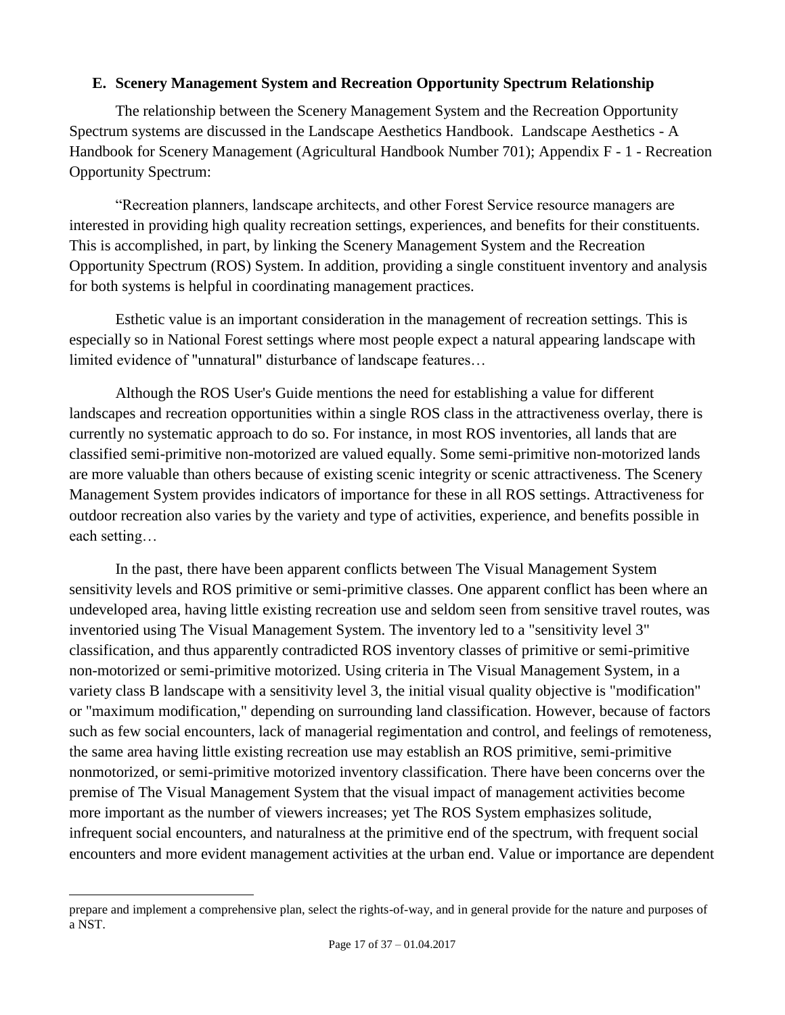#### <span id="page-16-0"></span>**E. Scenery Management System and Recreation Opportunity Spectrum Relationship**

The relationship between the Scenery Management System and the Recreation Opportunity Spectrum systems are discussed in the Landscape Aesthetics Handbook. Landscape Aesthetics - A Handbook for Scenery Management (Agricultural Handbook Number 701); Appendix F - 1 - Recreation Opportunity Spectrum:

"Recreation planners, landscape architects, and other Forest Service resource managers are interested in providing high quality recreation settings, experiences, and benefits for their constituents. This is accomplished, in part, by linking the Scenery Management System and the Recreation Opportunity Spectrum (ROS) System. In addition, providing a single constituent inventory and analysis for both systems is helpful in coordinating management practices.

Esthetic value is an important consideration in the management of recreation settings. This is especially so in National Forest settings where most people expect a natural appearing landscape with limited evidence of "unnatural" disturbance of landscape features…

Although the ROS User's Guide mentions the need for establishing a value for different landscapes and recreation opportunities within a single ROS class in the attractiveness overlay, there is currently no systematic approach to do so. For instance, in most ROS inventories, all lands that are classified semi-primitive non-motorized are valued equally. Some semi-primitive non-motorized lands are more valuable than others because of existing scenic integrity or scenic attractiveness. The Scenery Management System provides indicators of importance for these in all ROS settings. Attractiveness for outdoor recreation also varies by the variety and type of activities, experience, and benefits possible in each setting…

In the past, there have been apparent conflicts between The Visual Management System sensitivity levels and ROS primitive or semi-primitive classes. One apparent conflict has been where an undeveloped area, having little existing recreation use and seldom seen from sensitive travel routes, was inventoried using The Visual Management System. The inventory led to a "sensitivity level 3" classification, and thus apparently contradicted ROS inventory classes of primitive or semi-primitive non-motorized or semi-primitive motorized. Using criteria in The Visual Management System, in a variety class B landscape with a sensitivity level 3, the initial visual quality objective is "modification" or "maximum modification," depending on surrounding land classification. However, because of factors such as few social encounters, lack of managerial regimentation and control, and feelings of remoteness, the same area having little existing recreation use may establish an ROS primitive, semi-primitive nonmotorized, or semi-primitive motorized inventory classification. There have been concerns over the premise of The Visual Management System that the visual impact of management activities become more important as the number of viewers increases; yet The ROS System emphasizes solitude, infrequent social encounters, and naturalness at the primitive end of the spectrum, with frequent social encounters and more evident management activities at the urban end. Value or importance are dependent

prepare and implement a comprehensive plan, select the rights-of-way, and in general provide for the nature and purposes of a NST.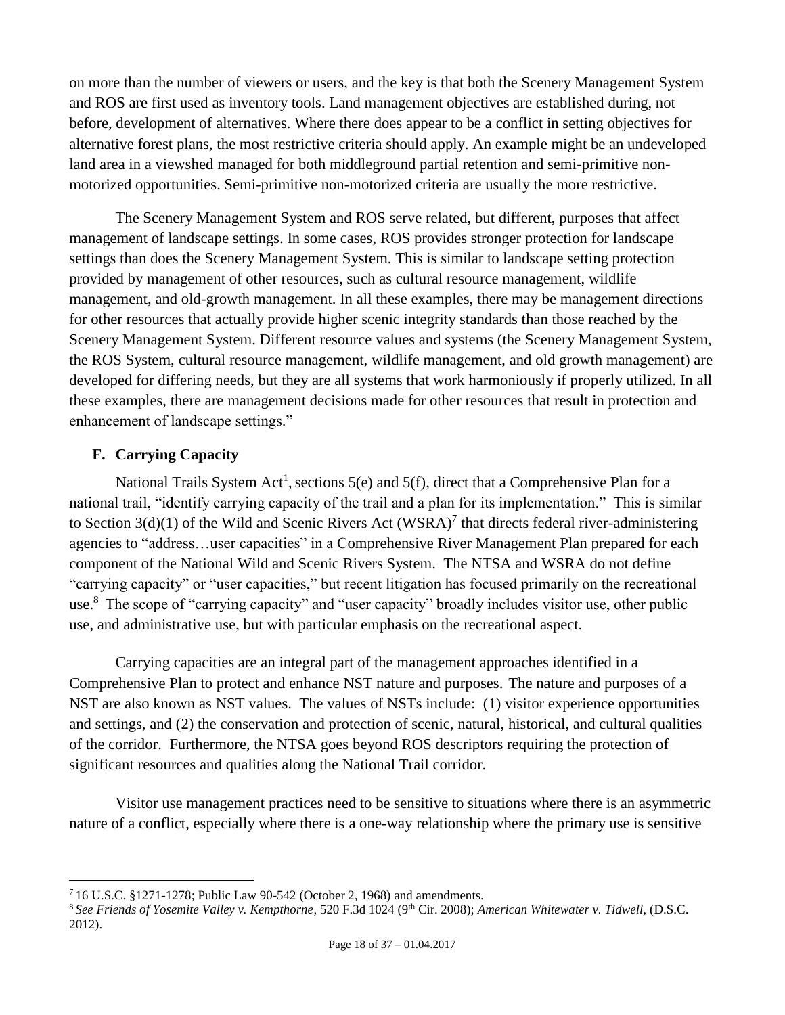on more than the number of viewers or users, and the key is that both the Scenery Management System and ROS are first used as inventory tools. Land management objectives are established during, not before, development of alternatives. Where there does appear to be a conflict in setting objectives for alternative forest plans, the most restrictive criteria should apply. An example might be an undeveloped land area in a viewshed managed for both middleground partial retention and semi-primitive nonmotorized opportunities. Semi-primitive non-motorized criteria are usually the more restrictive.

The Scenery Management System and ROS serve related, but different, purposes that affect management of landscape settings. In some cases, ROS provides stronger protection for landscape settings than does the Scenery Management System. This is similar to landscape setting protection provided by management of other resources, such as cultural resource management, wildlife management, and old-growth management. In all these examples, there may be management directions for other resources that actually provide higher scenic integrity standards than those reached by the Scenery Management System. Different resource values and systems (the Scenery Management System, the ROS System, cultural resource management, wildlife management, and old growth management) are developed for differing needs, but they are all systems that work harmoniously if properly utilized. In all these examples, there are management decisions made for other resources that result in protection and enhancement of landscape settings."

# <span id="page-17-0"></span>**F. Carrying Capacity**

 $\overline{a}$ 

National Trails System Act<sup>[1](#page-2-1)</sup>, sections 5(e) and 5(f), direct that a Comprehensive Plan for a national trail, "identify carrying capacity of the trail and a plan for its implementation." This is similar to Section  $3(d)(1)$  of the Wild and Scenic Rivers Act (WSRA)<sup>7</sup> that directs federal river-administering agencies to "address…user capacities" in a Comprehensive River Management Plan prepared for each component of the National Wild and Scenic Rivers System. The NTSA and WSRA do not define "carrying capacity" or "user capacities," but recent litigation has focused primarily on the recreational use.<sup>8</sup> The scope of "carrying capacity" and "user capacity" broadly includes visitor use, other public use, and administrative use, but with particular emphasis on the recreational aspect.

Carrying capacities are an integral part of the management approaches identified in a Comprehensive Plan to protect and enhance NST nature and purposes. The nature and purposes of a NST are also known as NST values. The values of NSTs include: (1) visitor experience opportunities and settings, and (2) the conservation and protection of scenic, natural, historical, and cultural qualities of the corridor. Furthermore, the NTSA goes beyond ROS descriptors requiring the protection of significant resources and qualities along the National Trail corridor.

Visitor use management practices need to be sensitive to situations where there is an asymmetric nature of a conflict, especially where there is a one-way relationship where the primary use is sensitive

<sup>7</sup> 16 U.S.C. §1271-1278; Public Law 90-542 (October 2, 1968) and amendments.

<sup>&</sup>lt;sup>8</sup> See Friends of Yosemite Valley v. Kempthorne, 520 F.3d 1024 (9<sup>th</sup> Cir. 2008); American Whitewater v. Tidwell, (D.S.C. 2012).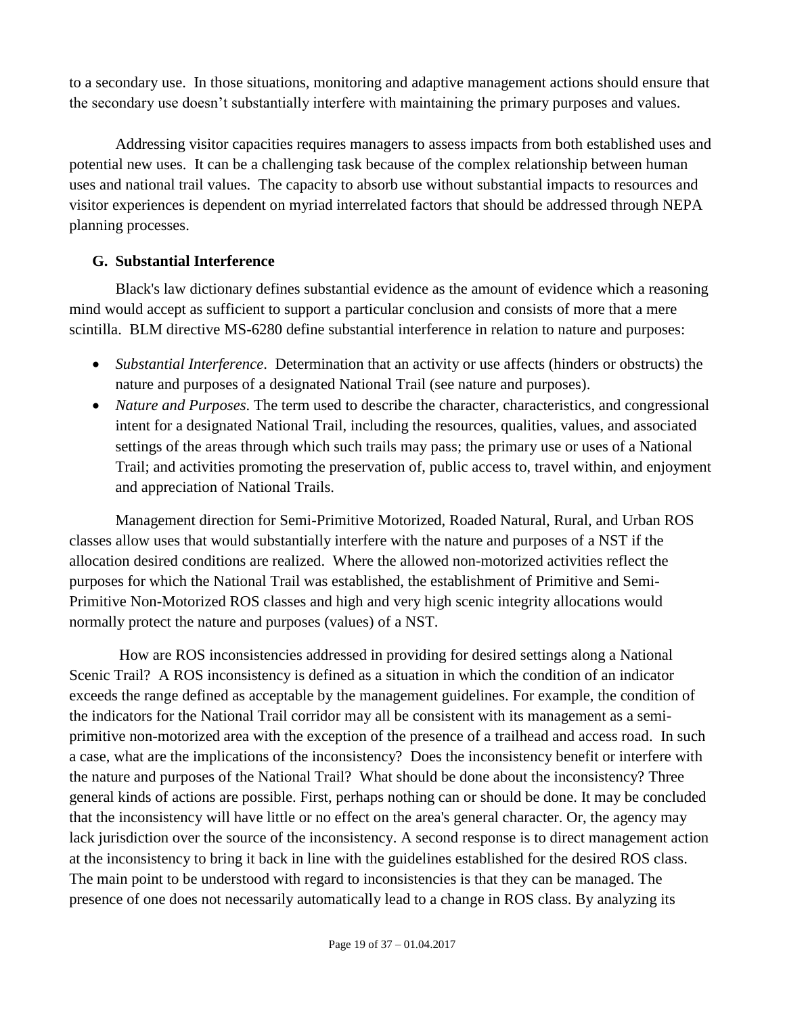to a secondary use. In those situations, monitoring and adaptive management actions should ensure that the secondary use doesn't substantially interfere with maintaining the primary purposes and values.

Addressing visitor capacities requires managers to assess impacts from both established uses and potential new uses. It can be a challenging task because of the complex relationship between human uses and national trail values. The capacity to absorb use without substantial impacts to resources and visitor experiences is dependent on myriad interrelated factors that should be addressed through NEPA planning processes.

# <span id="page-18-0"></span>**G. Substantial Interference**

Black's law dictionary defines substantial evidence as the amount of evidence which a reasoning mind would accept as sufficient to support a particular conclusion and consists of more that a mere scintilla. BLM directive MS-6280 define substantial interference in relation to nature and purposes:

- *Substantial Interference*. Determination that an activity or use affects (hinders or obstructs) the nature and purposes of a designated National Trail (see nature and purposes).
- *Nature and Purposes*. The term used to describe the character, characteristics, and congressional intent for a designated National Trail, including the resources, qualities, values, and associated settings of the areas through which such trails may pass; the primary use or uses of a National Trail; and activities promoting the preservation of, public access to, travel within, and enjoyment and appreciation of National Trails.

Management direction for Semi-Primitive Motorized, Roaded Natural, Rural, and Urban ROS classes allow uses that would substantially interfere with the nature and purposes of a NST if the allocation desired conditions are realized. Where the allowed non-motorized activities reflect the purposes for which the National Trail was established, the establishment of Primitive and Semi-Primitive Non-Motorized ROS classes and high and very high scenic integrity allocations would normally protect the nature and purposes (values) of a NST.

How are ROS inconsistencies addressed in providing for desired settings along a National Scenic Trail? A ROS inconsistency is defined as a situation in which the condition of an indicator exceeds the range defined as acceptable by the management guidelines. For example, the condition of the indicators for the National Trail corridor may all be consistent with its management as a semiprimitive non-motorized area with the exception of the presence of a trailhead and access road. In such a case, what are the implications of the inconsistency? Does the inconsistency benefit or interfere with the nature and purposes of the National Trail? What should be done about the inconsistency? Three general kinds of actions are possible. First, perhaps nothing can or should be done. It may be concluded that the inconsistency will have little or no effect on the area's general character. Or, the agency may lack jurisdiction over the source of the inconsistency. A second response is to direct management action at the inconsistency to bring it back in line with the guidelines established for the desired ROS class. The main point to be understood with regard to inconsistencies is that they can be managed. The presence of one does not necessarily automatically lead to a change in ROS class. By analyzing its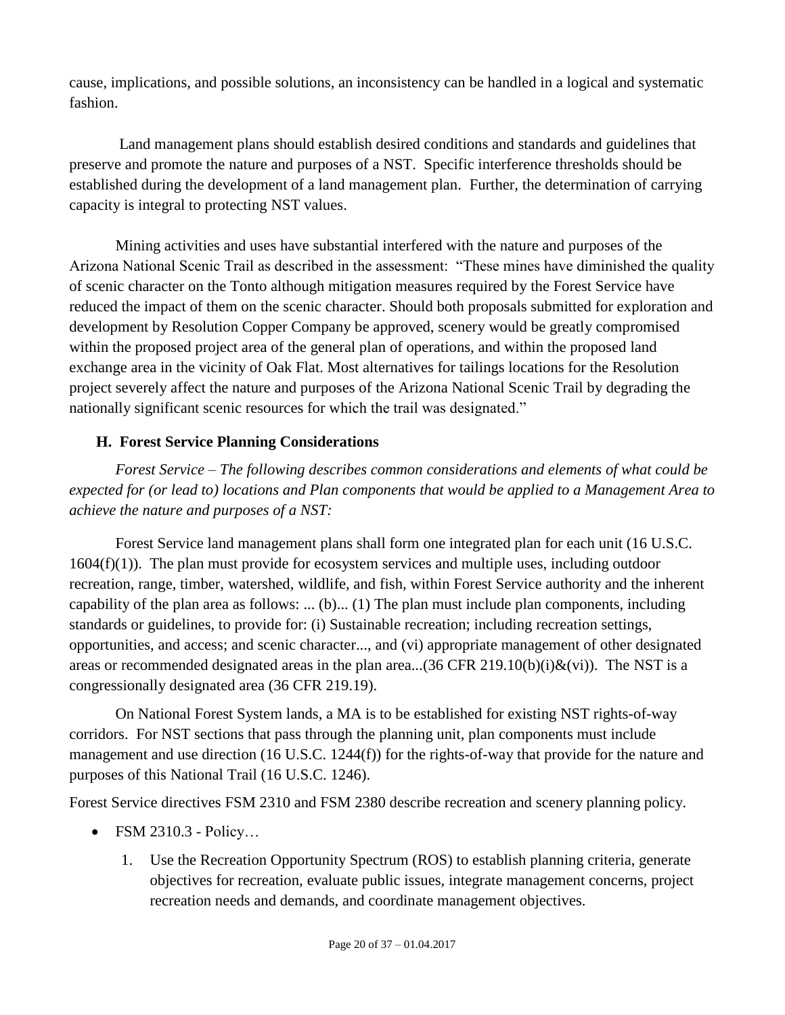cause, implications, and possible solutions, an inconsistency can be handled in a logical and systematic fashion.

Land management plans should establish desired conditions and standards and guidelines that preserve and promote the nature and purposes of a NST. Specific interference thresholds should be established during the development of a land management plan. Further, the determination of carrying capacity is integral to protecting NST values.

Mining activities and uses have substantial interfered with the nature and purposes of the Arizona National Scenic Trail as described in the assessment: "These mines have diminished the quality of scenic character on the Tonto although mitigation measures required by the Forest Service have reduced the impact of them on the scenic character. Should both proposals submitted for exploration and development by Resolution Copper Company be approved, scenery would be greatly compromised within the proposed project area of the general plan of operations, and within the proposed land exchange area in the vicinity of Oak Flat. Most alternatives for tailings locations for the Resolution project severely affect the nature and purposes of the Arizona National Scenic Trail by degrading the nationally significant scenic resources for which the trail was designated."

# <span id="page-19-0"></span>**H. Forest Service Planning Considerations**

*Forest Service – The following describes common considerations and elements of what could be expected for (or lead to) locations and Plan components that would be applied to a Management Area to achieve the nature and purposes of a NST:*

Forest Service land management plans shall form one integrated plan for each unit (16 U.S.C.  $1604(f)(1)$ ). The plan must provide for ecosystem services and multiple uses, including outdoor recreation, range, timber, watershed, wildlife, and fish, within Forest Service authority and the inherent capability of the plan area as follows: ... (b)... (1) The plan must include plan components, including standards or guidelines, to provide for: (i) Sustainable recreation; including recreation settings, opportunities, and access; and scenic character..., and (vi) appropriate management of other designated areas or recommended designated areas in the plan area...(36 CFR 219.10(b)(i) $\&$ (vi)). The NST is a congressionally designated area (36 CFR 219.19).

On National Forest System lands, a MA is to be established for existing NST rights-of-way corridors. For NST sections that pass through the planning unit, plan components must include management and use direction (16 U.S.C. 1244(f)) for the rights-of-way that provide for the nature and purposes of this National Trail (16 U.S.C. 1246).

Forest Service directives FSM 2310 and FSM 2380 describe recreation and scenery planning policy.

- FSM 2310.3 Policy...
	- 1. Use the Recreation Opportunity Spectrum (ROS) to establish planning criteria, generate objectives for recreation, evaluate public issues, integrate management concerns, project recreation needs and demands, and coordinate management objectives.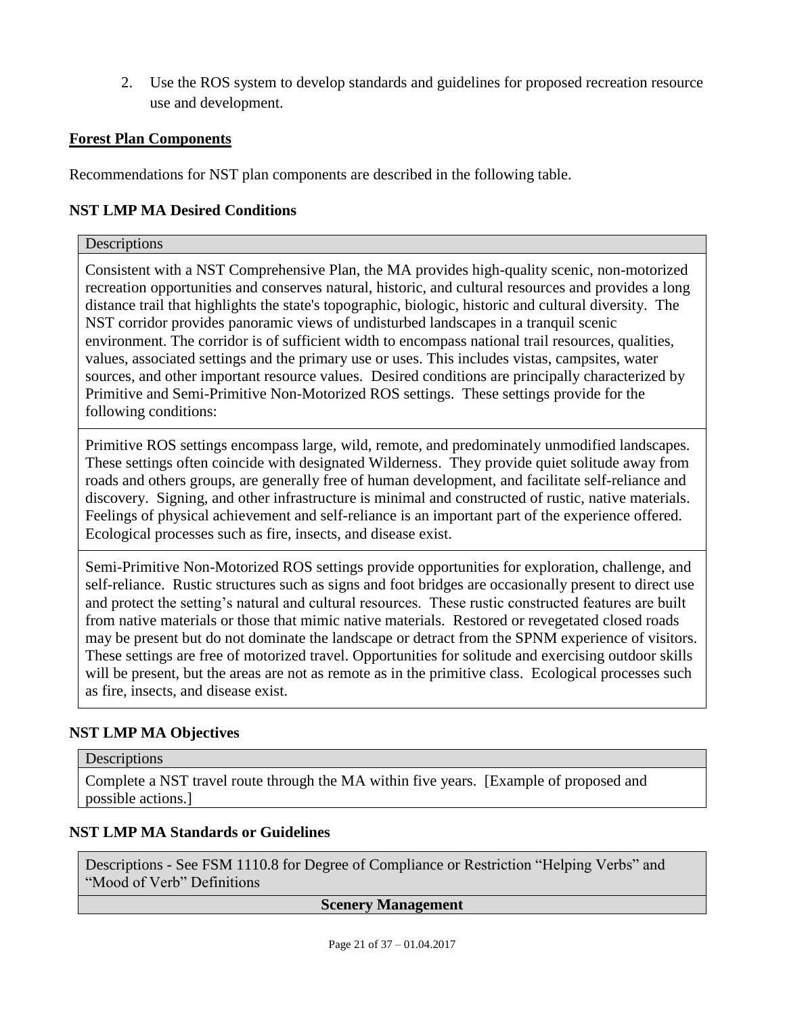2. Use the ROS system to develop standards and guidelines for proposed recreation resource use and development.

#### **Forest Plan Components**

Recommendations for NST plan components are described in the following table.

#### **NST LMP MA Desired Conditions**

#### **Descriptions**

Consistent with a NST Comprehensive Plan, the MA provides high-quality scenic, non-motorized recreation opportunities and conserves natural, historic, and cultural resources and provides a long distance trail that highlights the state's topographic, biologic, historic and cultural diversity. The NST corridor provides panoramic views of undisturbed landscapes in a tranquil scenic environment. The corridor is of sufficient width to encompass national trail resources, qualities, values, associated settings and the primary use or uses. This includes vistas, campsites, water sources, and other important resource values. Desired conditions are principally characterized by Primitive and Semi-Primitive Non-Motorized ROS settings. These settings provide for the following conditions:

Primitive ROS settings encompass large, wild, remote, and predominately unmodified landscapes. These settings often coincide with designated Wilderness. They provide quiet solitude away from roads and others groups, are generally free of human development, and facilitate self-reliance and discovery. Signing, and other infrastructure is minimal and constructed of rustic, native materials. Feelings of physical achievement and self-reliance is an important part of the experience offered. Ecological processes such as fire, insects, and disease exist.

Semi-Primitive Non-Motorized ROS settings provide opportunities for exploration, challenge, and self-reliance. Rustic structures such as signs and foot bridges are occasionally present to direct use and protect the setting's natural and cultural resources. These rustic constructed features are built from native materials or those that mimic native materials. Restored or revegetated closed roads may be present but do not dominate the landscape or detract from the SPNM experience of visitors. These settings are free of motorized travel. Opportunities for solitude and exercising outdoor skills will be present, but the areas are not as remote as in the primitive class. Ecological processes such as fire, insects, and disease exist.

#### **NST LMP MA Objectives**

#### **Descriptions**

Complete a NST travel route through the MA within five years. [Example of proposed and possible actions.]

#### **NST LMP MA Standards or Guidelines**

Descriptions - See FSM 1110.8 for Degree of Compliance or Restriction "Helping Verbs" and "Mood of Verb" Definitions

#### **Scenery Management**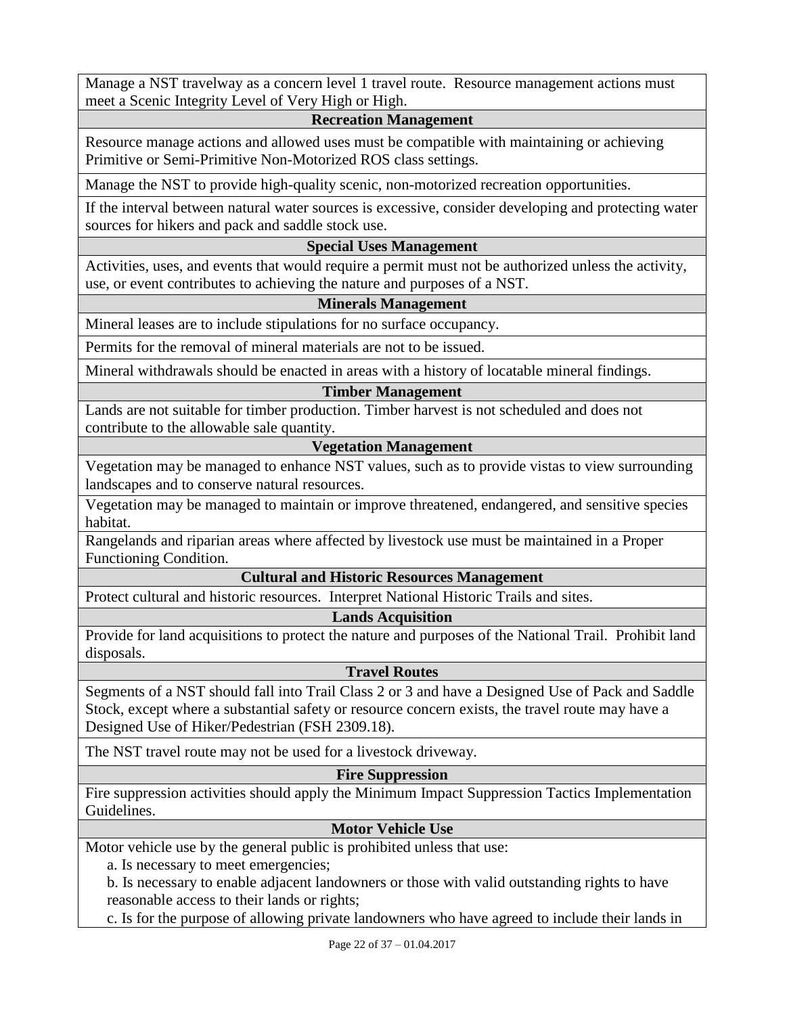Manage a NST travelway as a concern level 1 travel route. Resource management actions must meet a Scenic Integrity Level of Very High or High.

#### **Recreation Management**

Resource manage actions and allowed uses must be compatible with maintaining or achieving Primitive or Semi-Primitive Non-Motorized ROS class settings.

Manage the NST to provide high-quality scenic, non-motorized recreation opportunities.

If the interval between natural water sources is excessive, consider developing and protecting water sources for hikers and pack and saddle stock use.

#### **Special Uses Management**

Activities, uses, and events that would require a permit must not be authorized unless the activity, use, or event contributes to achieving the nature and purposes of a NST.

#### **Minerals Management**

Mineral leases are to include stipulations for no surface occupancy.

Permits for the removal of mineral materials are not to be issued.

Mineral withdrawals should be enacted in areas with a history of locatable mineral findings.

#### **Timber Management**

Lands are not suitable for timber production. Timber harvest is not scheduled and does not contribute to the allowable sale quantity.

#### **Vegetation Management**

Vegetation may be managed to enhance NST values, such as to provide vistas to view surrounding landscapes and to conserve natural resources.

Vegetation may be managed to maintain or improve threatened, endangered, and sensitive species habitat.

Rangelands and riparian areas where affected by livestock use must be maintained in a Proper Functioning Condition.

#### **Cultural and Historic Resources Management**

Protect cultural and historic resources. Interpret National Historic Trails and sites.

#### **Lands Acquisition**

Provide for land acquisitions to protect the nature and purposes of the National Trail. Prohibit land disposals.

#### **Travel Routes**

Segments of a NST should fall into Trail Class 2 or 3 and have a Designed Use of Pack and Saddle Stock, except where a substantial safety or resource concern exists, the travel route may have a Designed Use of Hiker/Pedestrian (FSH 2309.18).

The NST travel route may not be used for a livestock driveway.

#### **Fire Suppression**

Fire suppression activities should apply the Minimum Impact Suppression Tactics Implementation Guidelines.

#### **Motor Vehicle Use**

Motor vehicle use by the general public is prohibited unless that use:

a. Is necessary to meet emergencies;

b. Is necessary to enable adjacent landowners or those with valid outstanding rights to have reasonable access to their lands or rights;

c. Is for the purpose of allowing private landowners who have agreed to include their lands in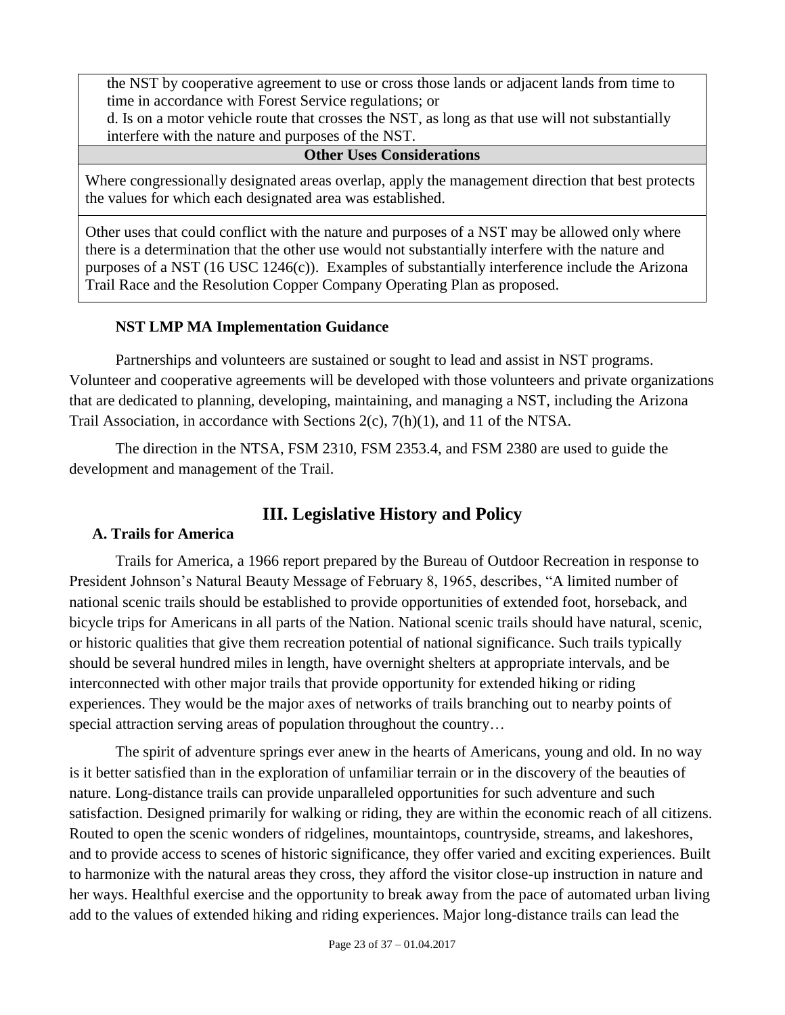the NST by cooperative agreement to use or cross those lands or adjacent lands from time to time in accordance with Forest Service regulations; or

d. Is on a motor vehicle route that crosses the NST, as long as that use will not substantially interfere with the nature and purposes of the NST.

#### **Other Uses Considerations**

Where congressionally designated areas overlap, apply the management direction that best protects the values for which each designated area was established.

Other uses that could conflict with the nature and purposes of a NST may be allowed only where there is a determination that the other use would not substantially interfere with the nature and purposes of a NST (16 USC 1246(c)). Examples of substantially interference include the Arizona Trail Race and the Resolution Copper Company Operating Plan as proposed.

#### **NST LMP MA Implementation Guidance**

Partnerships and volunteers are sustained or sought to lead and assist in NST programs. Volunteer and cooperative agreements will be developed with those volunteers and private organizations that are dedicated to planning, developing, maintaining, and managing a NST, including the Arizona Trail Association, in accordance with Sections 2(c), 7(h)(1), and 11 of the NTSA.

<span id="page-22-0"></span>The direction in the NTSA, FSM 2310, FSM 2353.4, and FSM 2380 are used to guide the development and management of the Trail.

# **III. Legislative History and Policy**

#### <span id="page-22-1"></span>**A. Trails for America**

Trails for America, a 1966 report prepared by the Bureau of Outdoor Recreation in response to President Johnson's Natural Beauty Message of February 8, 1965, describes, "A limited number of national scenic trails should be established to provide opportunities of extended foot, horseback, and bicycle trips for Americans in all parts of the Nation. National scenic trails should have natural, scenic, or historic qualities that give them recreation potential of national significance. Such trails typically should be several hundred miles in length, have overnight shelters at appropriate intervals, and be interconnected with other major trails that provide opportunity for extended hiking or riding experiences. They would be the major axes of networks of trails branching out to nearby points of special attraction serving areas of population throughout the country...

The spirit of adventure springs ever anew in the hearts of Americans, young and old. In no way is it better satisfied than in the exploration of unfamiliar terrain or in the discovery of the beauties of nature. Long-distance trails can provide unparalleled opportunities for such adventure and such satisfaction. Designed primarily for walking or riding, they are within the economic reach of all citizens. Routed to open the scenic wonders of ridgelines, mountaintops, countryside, streams, and lakeshores, and to provide access to scenes of historic significance, they offer varied and exciting experiences. Built to harmonize with the natural areas they cross, they afford the visitor close-up instruction in nature and her ways. Healthful exercise and the opportunity to break away from the pace of automated urban living add to the values of extended hiking and riding experiences. Major long-distance trails can lead the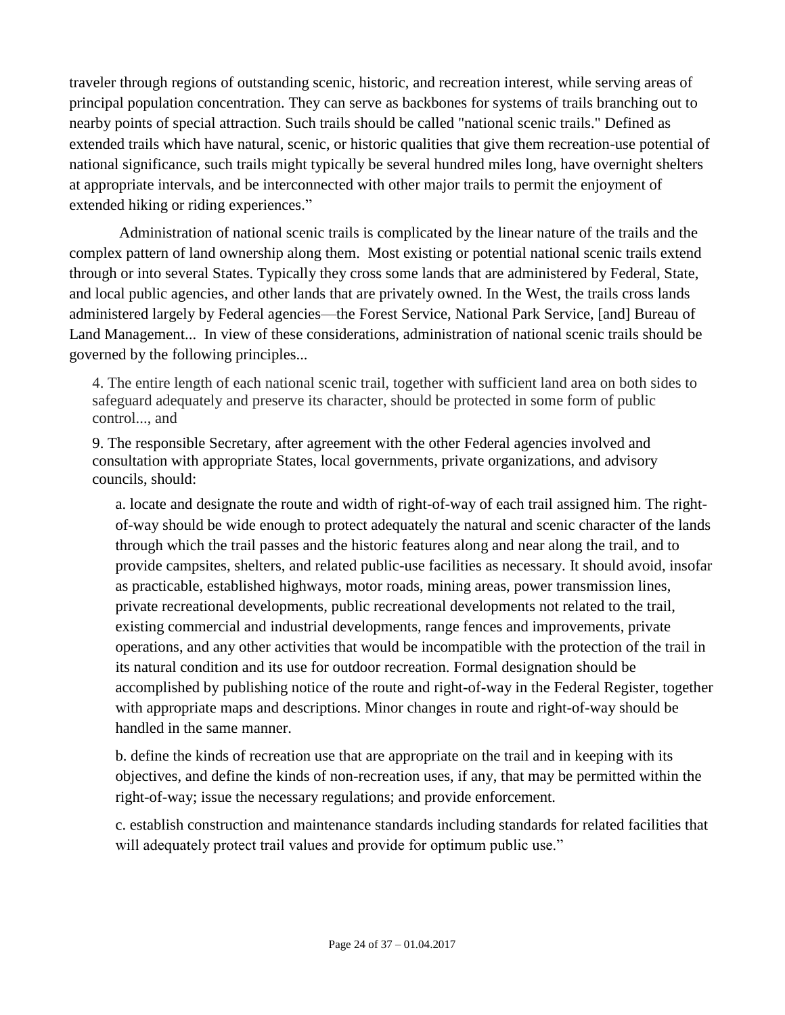traveler through regions of outstanding scenic, historic, and recreation interest, while serving areas of principal population concentration. They can serve as backbones for systems of trails branching out to nearby points of special attraction. Such trails should be called "national scenic trails." Defined as extended trails which have natural, scenic, or historic qualities that give them recreation-use potential of national significance, such trails might typically be several hundred miles long, have overnight shelters at appropriate intervals, and be interconnected with other major trails to permit the enjoyment of extended hiking or riding experiences."

Administration of national scenic trails is complicated by the linear nature of the trails and the complex pattern of land ownership along them. Most existing or potential national scenic trails extend through or into several States. Typically they cross some lands that are administered by Federal, State, and local public agencies, and other lands that are privately owned. In the West, the trails cross lands administered largely by Federal agencies—the Forest Service, National Park Service, [and] Bureau of Land Management... In view of these considerations, administration of national scenic trails should be governed by the following principles...

4. The entire length of each national scenic trail, together with sufficient land area on both sides to safeguard adequately and preserve its character, should be protected in some form of public control..., and

9. The responsible Secretary, after agreement with the other Federal agencies involved and consultation with appropriate States, local governments, private organizations, and advisory councils, should:

a. locate and designate the route and width of right-of-way of each trail assigned him. The rightof-way should be wide enough to protect adequately the natural and scenic character of the lands through which the trail passes and the historic features along and near along the trail, and to provide campsites, shelters, and related public-use facilities as necessary. It should avoid, insofar as practicable, established highways, motor roads, mining areas, power transmission lines, private recreational developments, public recreational developments not related to the trail, existing commercial and industrial developments, range fences and improvements, private operations, and any other activities that would be incompatible with the protection of the trail in its natural condition and its use for outdoor recreation. Formal designation should be accomplished by publishing notice of the route and right-of-way in the Federal Register, together with appropriate maps and descriptions. Minor changes in route and right-of-way should be handled in the same manner.

b. define the kinds of recreation use that are appropriate on the trail and in keeping with its objectives, and define the kinds of non-recreation uses, if any, that may be permitted within the right-of-way; issue the necessary regulations; and provide enforcement.

c. establish construction and maintenance standards including standards for related facilities that will adequately protect trail values and provide for optimum public use."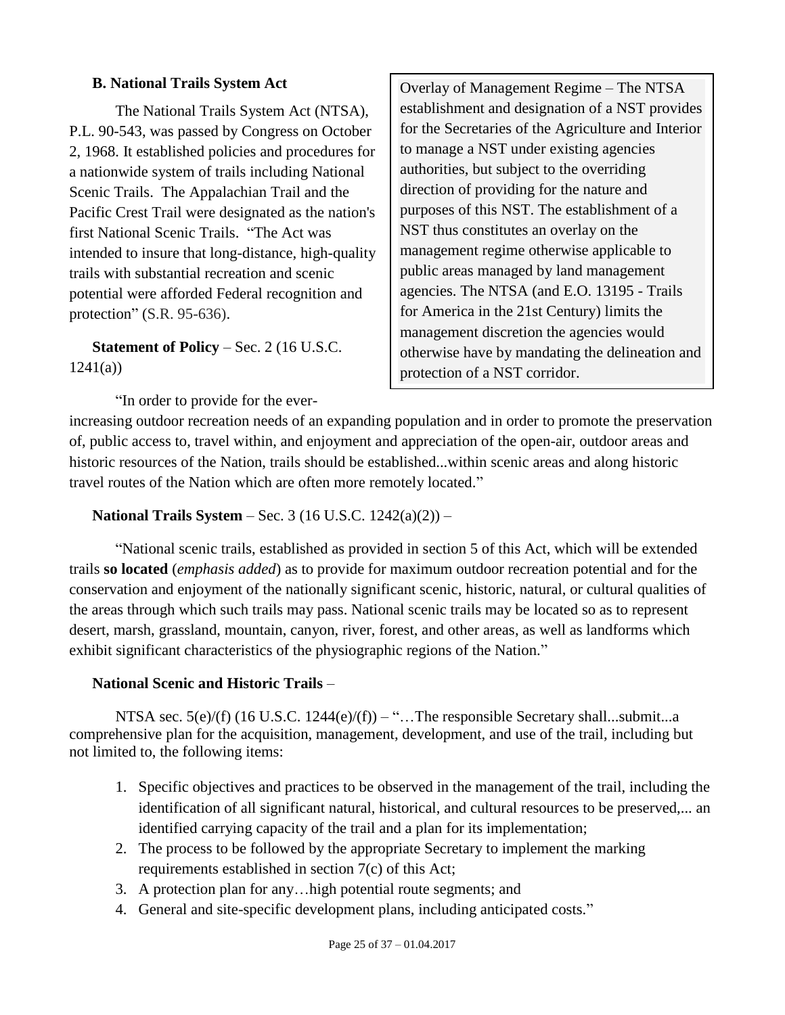#### <span id="page-24-0"></span>**B. National Trails System Act**

The National Trails System Act (NTSA), P.L. 90-543, was passed by Congress on October 2, 1968. It established policies and procedures for a nationwide system of trails including National Scenic Trails. The Appalachian Trail and the Pacific Crest Trail were designated as the nation's first National Scenic Trails. "The Act was intended to insure that long-distance, high-quality trails with substantial recreation and scenic potential were afforded Federal recognition and protection" (S.R. 95-636).

**Statement of Policy** – Sec. 2 (16 U.S.C. 1241(a))

"In order to provide for the ever-

Overlay of Management Regime – The NTSA establishment and designation of a NST provides for the Secretaries of the Agriculture and Interior to manage a NST under existing agencies authorities, but subject to the overriding direction of providing for the nature and purposes of this NST. The establishment of a NST thus constitutes an overlay on the management regime otherwise applicable to public areas managed by land management agencies. The NTSA (and E.O. 13195 - Trails for America in the 21st Century) limits the management discretion the agencies would otherwise have by mandating the delineation and protection of a NST corridor.

increasing outdoor recreation needs of an expanding population and in order to promote the preservation of, public access to, travel within, and enjoyment and appreciation of the open-air, outdoor areas and historic resources of the Nation, trails should be established...within scenic areas and along historic travel routes of the Nation which are often more remotely located."

**National Trails System** – Sec. 3 (16 U.S.C. 1242(a)(2)) –

"National scenic trails, established as provided in section 5 of this Act, which will be extended trails **so located** (*emphasis added*) as to provide for maximum outdoor recreation potential and for the conservation and enjoyment of the nationally significant scenic, historic, natural, or cultural qualities of the areas through which such trails may pass. National scenic trails may be located so as to represent desert, marsh, grassland, mountain, canyon, river, forest, and other areas, as well as landforms which exhibit significant characteristics of the physiographic regions of the Nation."

#### **National Scenic and Historic Trails** –

NTSA sec.  $5(e)/(f)$  (16 U.S.C. 1244 $(e)/(f)$ ) – "... The responsible Secretary shall...submit...a comprehensive plan for the acquisition, management, development, and use of the trail, including but not limited to, the following items:

- 1. Specific objectives and practices to be observed in the management of the trail, including the identification of all significant natural, historical, and cultural resources to be preserved,... an identified carrying capacity of the trail and a plan for its implementation;
- 2. The process to be followed by the appropriate Secretary to implement the marking requirements established in section 7(c) of this Act;
- 3. A protection plan for any…high potential route segments; and
- 4. General and site-specific development plans, including anticipated costs."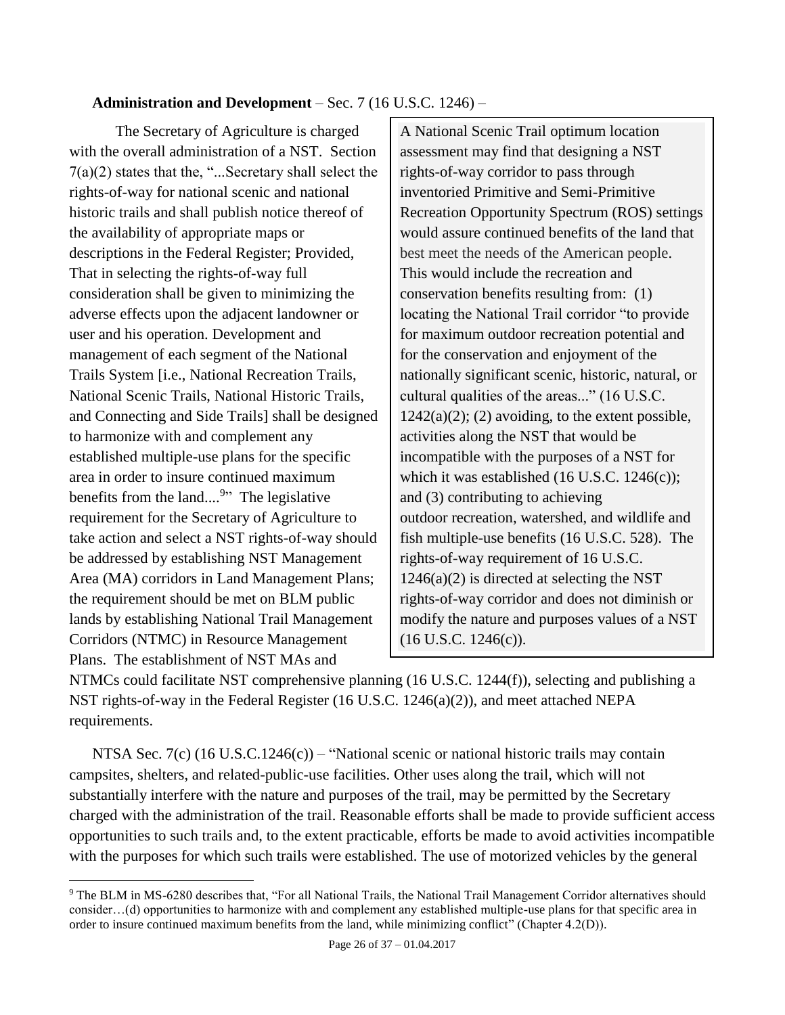### **Administration and Development** – Sec. 7 (16 U.S.C. 1246) –

The Secretary of Agriculture is charged with the overall administration of a NST. Section 7(a)(2) states that the, "...Secretary shall select the rights-of-way for national scenic and national historic trails and shall publish notice thereof of the availability of appropriate maps or descriptions in the Federal Register; Provided, That in selecting the rights-of-way full consideration shall be given to minimizing the adverse effects upon the adjacent landowner or user and his operation. Development and management of each segment of the National Trails System [i.e., National Recreation Trails, National Scenic Trails, National Historic Trails, and Connecting and Side Trails] shall be designed to harmonize with and complement any established multiple-use plans for the specific area in order to insure continued maximum benefits from the land....<sup>9</sup>" The legislative requirement for the Secretary of Agriculture to take action and select a NST rights-of-way should be addressed by establishing NST Management Area (MA) corridors in Land Management Plans; the requirement should be met on BLM public lands by establishing National Trail Management Corridors (NTMC) in Resource Management Plans. The establishment of NST MAs and

 $\overline{a}$ 

A National Scenic Trail optimum location assessment may find that designing a NST rights-of-way corridor to pass through inventoried Primitive and Semi-Primitive Recreation Opportunity Spectrum (ROS) settings would assure continued benefits of the land that best meet the needs of the American people. This would include the recreation and conservation benefits resulting from: (1) locating the National Trail corridor "to provide for maximum outdoor recreation potential and for the conservation and enjoyment of the nationally significant scenic, historic, natural, or cultural qualities of the areas..." (16 U.S.C.  $1242(a)(2)$ ; (2) avoiding, to the extent possible, activities along the NST that would be incompatible with the purposes of a NST for which it was established (16 U.S.C. 1246(c)); and (3) contributing to achieving outdoor recreation, watershed, and wildlife and fish multiple-use benefits (16 U.S.C. 528). The rights-of-way requirement of 16 U.S.C.  $1246(a)(2)$  is directed at selecting the NST rights-of-way corridor and does not diminish or modify the nature and purposes values of a NST (16 U.S.C. 1246(c)).

NTMCs could facilitate NST comprehensive planning (16 U.S.C. 1244(f)), selecting and publishing a NST rights-of-way in the Federal Register (16 U.S.C. 1246(a)(2)), and meet attached NEPA requirements.

NTSA Sec. 7(c) (16 U.S.C.1246(c)) – "National scenic or national historic trails may contain campsites, shelters, and related-public-use facilities. Other uses along the trail, which will not substantially interfere with the nature and purposes of the trail, may be permitted by the Secretary charged with the administration of the trail. Reasonable efforts shall be made to provide sufficient access opportunities to such trails and, to the extent practicable, efforts be made to avoid activities incompatible with the purposes for which such trails were established. The use of motorized vehicles by the general

<sup>&</sup>lt;sup>9</sup> The BLM in MS-6280 describes that, "For all National Trails, the National Trail Management Corridor alternatives should consider…(d) opportunities to harmonize with and complement any established multiple-use plans for that specific area in order to insure continued maximum benefits from the land, while minimizing conflict" (Chapter 4.2(D)).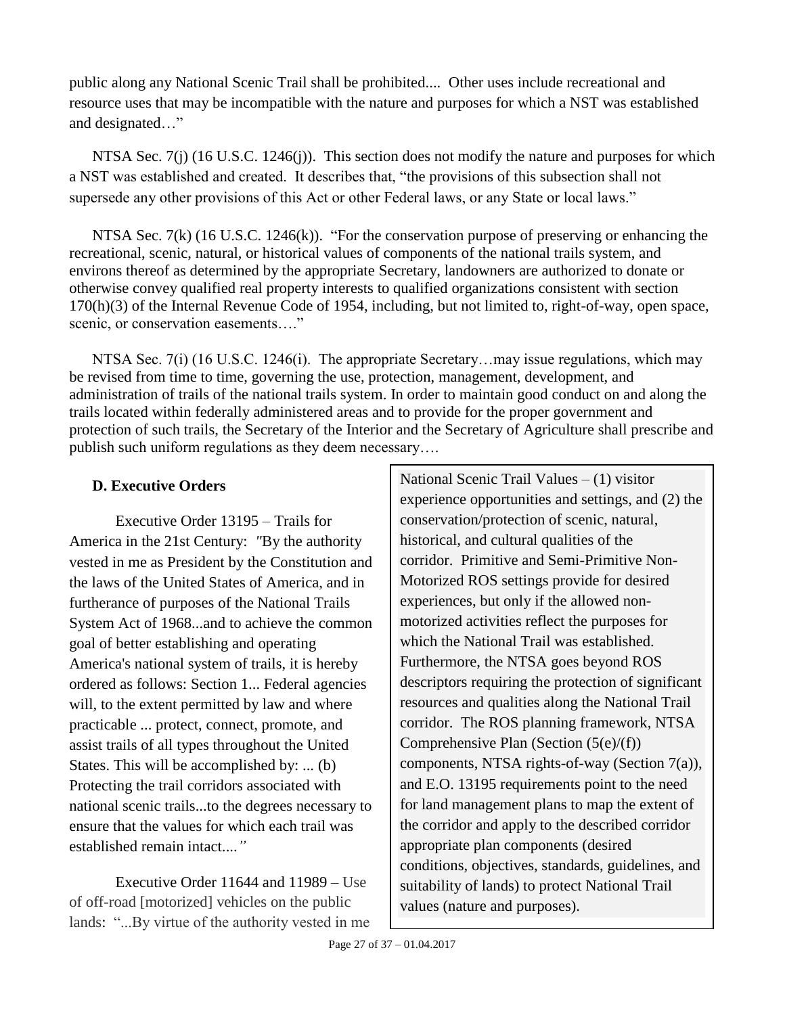public along any National Scenic Trail shall be prohibited.... Other uses include recreational and resource uses that may be incompatible with the nature and purposes for which a NST was established and designated…"

NTSA Sec. 7(j) (16 U.S.C. 1246(j)). This section does not modify the nature and purposes for which a NST was established and created. It describes that, "the provisions of this subsection shall not supersede any other provisions of this Act or other Federal laws, or any State or local laws."

NTSA Sec. 7(k) (16 U.S.C. 1246(k)). "For the conservation purpose of preserving or enhancing the recreational, scenic, natural, or historical values of components of the national trails system, and environs thereof as determined by the appropriate Secretary, landowners are authorized to donate or otherwise convey qualified real property interests to qualified organizations consistent with section 170(h)(3) of the Internal Revenue Code of 1954, including, but not limited to, right-of-way, open space, scenic, or conservation easements...."

NTSA Sec. 7(i) (16 U.S.C. 1246(i). The appropriate Secretary...may issue regulations, which may be revised from time to time, governing the use, protection, management, development, and administration of trails of the national trails system. In order to maintain good conduct on and along the trails located within federally administered areas and to provide for the proper government and protection of such trails, the Secretary of the Interior and the Secretary of Agriculture shall prescribe and publish such uniform regulations as they deem necessary….

# <span id="page-26-0"></span>**D. Executive Orders**

Executive Order 13195 – Trails for America in the 21st Century: *"*By the authority vested in me as President by the Constitution and the laws of the United States of America, and in furtherance of purposes of the National Trails System Act of 1968...and to achieve the common goal of better establishing and operating America's national system of trails, it is hereby ordered as follows: Section 1... Federal agencies will, to the extent permitted by law and where practicable ... protect, connect, promote, and assist trails of all types throughout the United States. This will be accomplished by: ... (b) Protecting the trail corridors associated with national scenic trails...to the degrees necessary to ensure that the values for which each trail was established remain intact....*"*

Executive Order 11644 and 11989 – Use of off-road [motorized] vehicles on the public lands: "...By virtue of the authority vested in me National Scenic Trail Values – (1) visitor experience opportunities and settings, and (2) the conservation/protection of scenic, natural, historical, and cultural qualities of the corridor. Primitive and Semi-Primitive Non-Motorized ROS settings provide for desired experiences, but only if the allowed nonmotorized activities reflect the purposes for which the National Trail was established. Furthermore, the NTSA goes beyond ROS descriptors requiring the protection of significant resources and qualities along the National Trail corridor. The ROS planning framework, NTSA Comprehensive Plan (Section (5(e)/(f)) components, NTSA rights-of-way (Section 7(a)), and E.O. 13195 requirements point to the need for land management plans to map the extent of the corridor and apply to the described corridor appropriate plan components (desired conditions, objectives, standards, guidelines, and suitability of lands) to protect National Trail values (nature and purposes).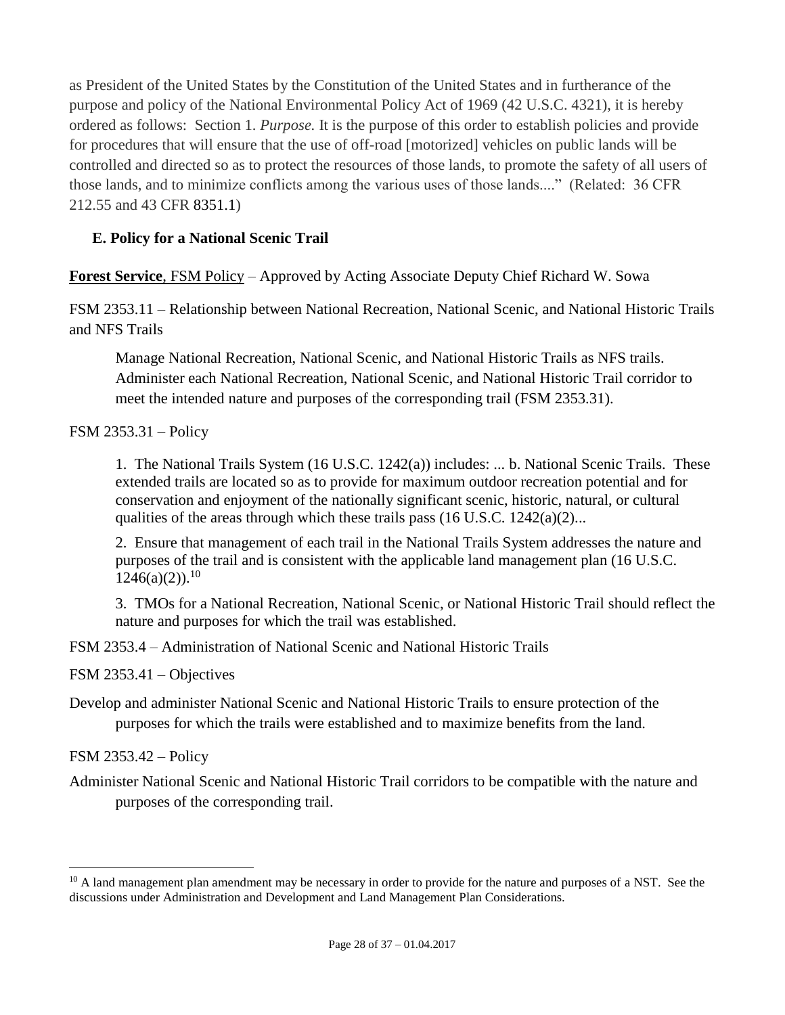as President of the United States by the Constitution of the United States and in furtherance of the purpose and policy of the National Environmental Policy Act of 1969 (42 U.S.C. 4321), it is hereby ordered as follows: Section 1. *Purpose.* It is the purpose of this order to establish policies and provide for procedures that will ensure that the use of off-road [motorized] vehicles on public lands will be controlled and directed so as to protect the resources of those lands, to promote the safety of all users of those lands, and to minimize conflicts among the various uses of those lands...." (Related: 36 CFR 212.55 and 43 CFR 8351.1)

# <span id="page-27-0"></span>**E. Policy for a National Scenic Trail**

**Forest Service**, FSM Policy – Approved by Acting Associate Deputy Chief Richard W. Sowa

FSM 2353.11 – Relationship between National Recreation, National Scenic, and National Historic Trails and NFS Trails

Manage National Recreation, National Scenic, and National Historic Trails as NFS trails. Administer each National Recreation, National Scenic, and National Historic Trail corridor to meet the intended nature and purposes of the corresponding trail (FSM 2353.31).

FSM 2353.31 – Policy

1. The National Trails System (16 U.S.C. 1242(a)) includes: ... b. National Scenic Trails. These extended trails are located so as to provide for maximum outdoor recreation potential and for conservation and enjoyment of the nationally significant scenic, historic, natural, or cultural qualities of the areas through which these trails pass  $(16 \text{ U.S.C. } 1242(a)(2)...$ 

2. Ensure that management of each trail in the National Trails System addresses the nature and purposes of the trail and is consistent with the applicable land management plan (16 U.S.C.  $1246(a)(2)$ .<sup>10</sup>

3. TMOs for a National Recreation, National Scenic, or National Historic Trail should reflect the nature and purposes for which the trail was established.

FSM 2353.4 – Administration of National Scenic and National Historic Trails

FSM 2353.41 – Objectives

Develop and administer National Scenic and National Historic Trails to ensure protection of the purposes for which the trails were established and to maximize benefits from the land.

FSM 2353.42 – Policy

 $\overline{a}$ 

Administer National Scenic and National Historic Trail corridors to be compatible with the nature and purposes of the corresponding trail.

 $10$  A land management plan amendment may be necessary in order to provide for the nature and purposes of a NST. See the discussions under Administration and Development and Land Management Plan Considerations.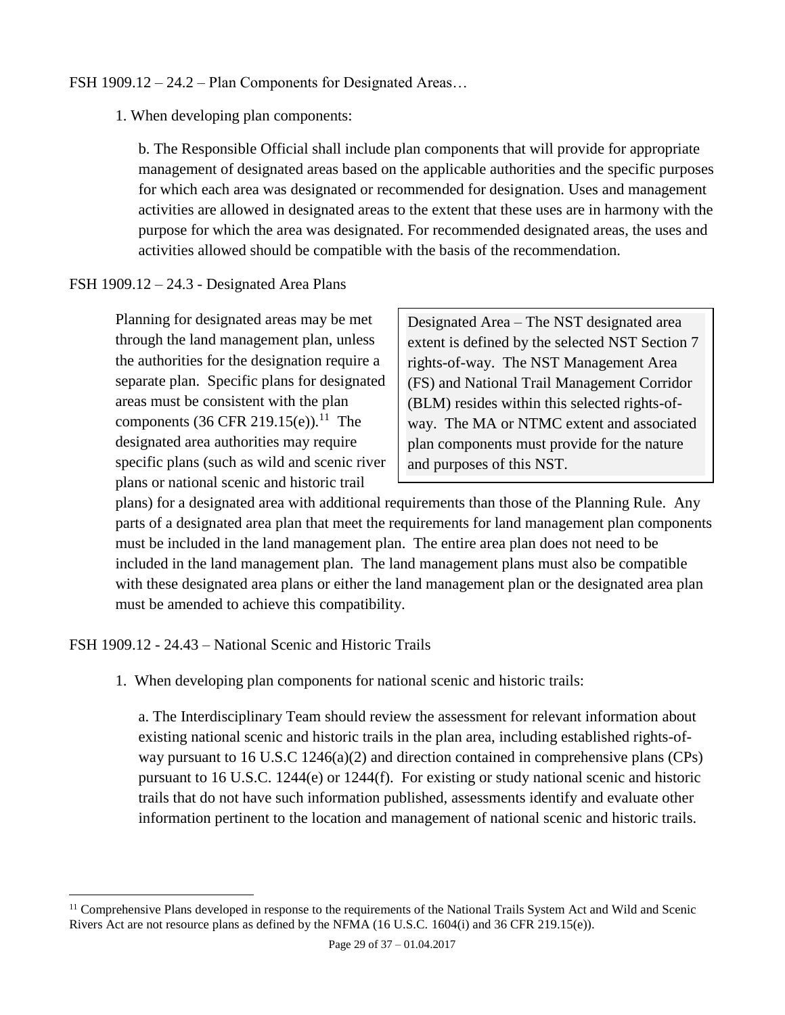#### FSH 1909.12 – 24.2 – Plan Components for Designated Areas…

1. When developing plan components:

b. The Responsible Official shall include plan components that will provide for appropriate management of designated areas based on the applicable authorities and the specific purposes for which each area was designated or recommended for designation. Uses and management activities are allowed in designated areas to the extent that these uses are in harmony with the purpose for which the area was designated. For recommended designated areas, the uses and activities allowed should be compatible with the basis of the recommendation.

#### FSH 1909.12 – 24.3 - Designated Area Plans

Planning for designated areas may be met through the land management plan, unless the authorities for the designation require a separate plan. Specific plans for designated areas must be consistent with the plan components  $(36 \text{ CFR } 219.15(e)).^{11}$  The designated area authorities may require specific plans (such as wild and scenic river plans or national scenic and historic trail

Designated Area – The NST designated area extent is defined by the selected NST Section 7 rights-of-way. The NST Management Area (FS) and National Trail Management Corridor (BLM) resides within this selected rights-ofway. The MA or NTMC extent and associated plan components must provide for the nature and purposes of this NST.

plans) for a designated area with additional requirements than those of the Planning Rule. Any parts of a designated area plan that meet the requirements for land management plan components must be included in the land management plan. The entire area plan does not need to be included in the land management plan. The land management plans must also be compatible with these designated area plans or either the land management plan or the designated area plan must be amended to achieve this compatibility.

FSH 1909.12 - 24.43 – National Scenic and Historic Trails

 $\overline{a}$ 

1. When developing plan components for national scenic and historic trails:

a. The Interdisciplinary Team should review the assessment for relevant information about existing national scenic and historic trails in the plan area, including established rights-ofway pursuant to 16 U.S.C 1246(a)(2) and direction contained in comprehensive plans (CPs) pursuant to 16 U.S.C. 1244(e) or 1244(f). For existing or study national scenic and historic trails that do not have such information published, assessments identify and evaluate other information pertinent to the location and management of national scenic and historic trails.

<sup>&</sup>lt;sup>11</sup> Comprehensive Plans developed in response to the requirements of the National Trails System Act and Wild and Scenic Rivers Act are not resource plans as defined by the NFMA (16 U.S.C. 1604(i) and 36 CFR 219.15(e)).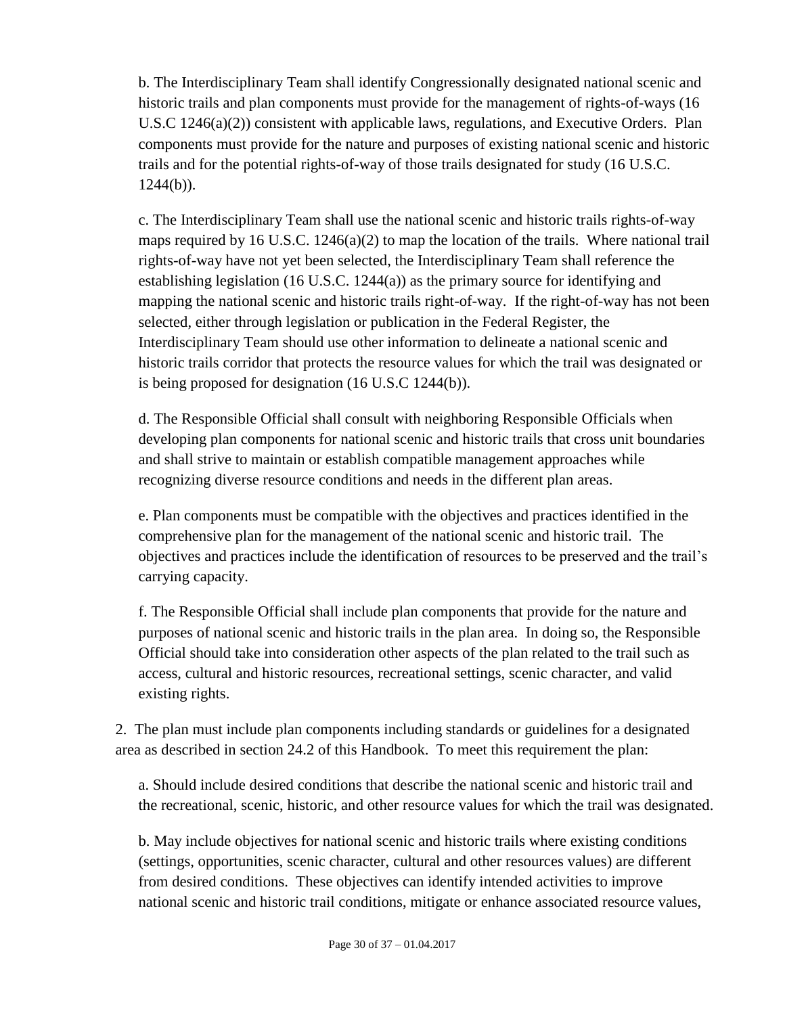b. The Interdisciplinary Team shall identify Congressionally designated national scenic and historic trails and plan components must provide for the management of rights-of-ways (16 U.S.C 1246(a)(2)) consistent with applicable laws, regulations, and Executive Orders. Plan components must provide for the nature and purposes of existing national scenic and historic trails and for the potential rights-of-way of those trails designated for study (16 U.S.C.  $1244(b)$ ).

c. The Interdisciplinary Team shall use the national scenic and historic trails rights-of-way maps required by 16 U.S.C. 1246(a)(2) to map the location of the trails. Where national trail rights-of-way have not yet been selected, the Interdisciplinary Team shall reference the establishing legislation (16 U.S.C. 1244(a)) as the primary source for identifying and mapping the national scenic and historic trails right-of-way. If the right-of-way has not been selected, either through legislation or publication in the Federal Register, the Interdisciplinary Team should use other information to delineate a national scenic and historic trails corridor that protects the resource values for which the trail was designated or is being proposed for designation (16 U.S.C 1244(b)).

d. The Responsible Official shall consult with neighboring Responsible Officials when developing plan components for national scenic and historic trails that cross unit boundaries and shall strive to maintain or establish compatible management approaches while recognizing diverse resource conditions and needs in the different plan areas.

e. Plan components must be compatible with the objectives and practices identified in the comprehensive plan for the management of the national scenic and historic trail. The objectives and practices include the identification of resources to be preserved and the trail's carrying capacity.

f. The Responsible Official shall include plan components that provide for the nature and purposes of national scenic and historic trails in the plan area. In doing so, the Responsible Official should take into consideration other aspects of the plan related to the trail such as access, cultural and historic resources, recreational settings, scenic character, and valid existing rights.

2. The plan must include plan components including standards or guidelines for a designated area as described in section 24.2 of this Handbook. To meet this requirement the plan:

a. Should include desired conditions that describe the national scenic and historic trail and the recreational, scenic, historic, and other resource values for which the trail was designated.

b. May include objectives for national scenic and historic trails where existing conditions (settings, opportunities, scenic character, cultural and other resources values) are different from desired conditions. These objectives can identify intended activities to improve national scenic and historic trail conditions, mitigate or enhance associated resource values,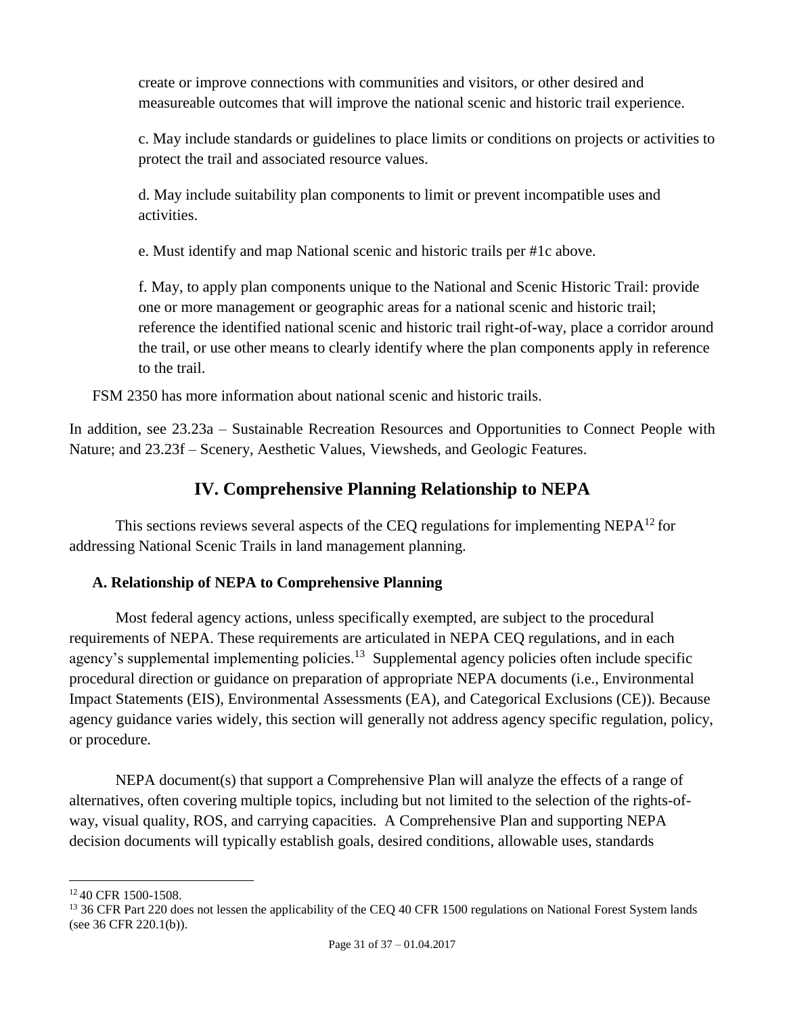create or improve connections with communities and visitors, or other desired and measureable outcomes that will improve the national scenic and historic trail experience.

c. May include standards or guidelines to place limits or conditions on projects or activities to protect the trail and associated resource values.

d. May include suitability plan components to limit or prevent incompatible uses and activities.

e. Must identify and map National scenic and historic trails per #1c above.

f. May, to apply plan components unique to the National and Scenic Historic Trail: provide one or more management or geographic areas for a national scenic and historic trail; reference the identified national scenic and historic trail right-of-way, place a corridor around the trail, or use other means to clearly identify where the plan components apply in reference to the trail.

FSM 2350 has more information about national scenic and historic trails.

In addition, see 23.23a – Sustainable Recreation Resources and Opportunities to Connect People with Nature; and 23.23f – Scenery, Aesthetic Values, Viewsheds, and Geologic Features.

# **IV. Comprehensive Planning Relationship to NEPA**

<span id="page-30-0"></span>This sections reviews several aspects of the CEQ regulations for implementing NEPA $^{12}$  for addressing National Scenic Trails in land management planning.

# <span id="page-30-1"></span>**A. Relationship of NEPA to Comprehensive Planning**

Most federal agency actions, unless specifically exempted, are subject to the procedural requirements of NEPA. These requirements are articulated in NEPA CEQ regulations, and in each agency's supplemental implementing policies.<sup>13</sup> Supplemental agency policies often include specific procedural direction or guidance on preparation of appropriate NEPA documents (i.e., Environmental Impact Statements (EIS), Environmental Assessments (EA), and Categorical Exclusions (CE)). Because agency guidance varies widely, this section will generally not address agency specific regulation, policy, or procedure.

NEPA document(s) that support a Comprehensive Plan will analyze the effects of a range of alternatives, often covering multiple topics, including but not limited to the selection of the rights-ofway, visual quality, ROS, and carrying capacities. A Comprehensive Plan and supporting NEPA decision documents will typically establish goals, desired conditions, allowable uses, standards

 $\overline{a}$ <sup>12</sup> 40 CFR 1500-1508.

<sup>&</sup>lt;sup>13</sup> 36 CFR Part 220 does not lessen the applicability of the CEQ 40 CFR 1500 regulations on National Forest System lands (see 36 CFR 220.1(b)).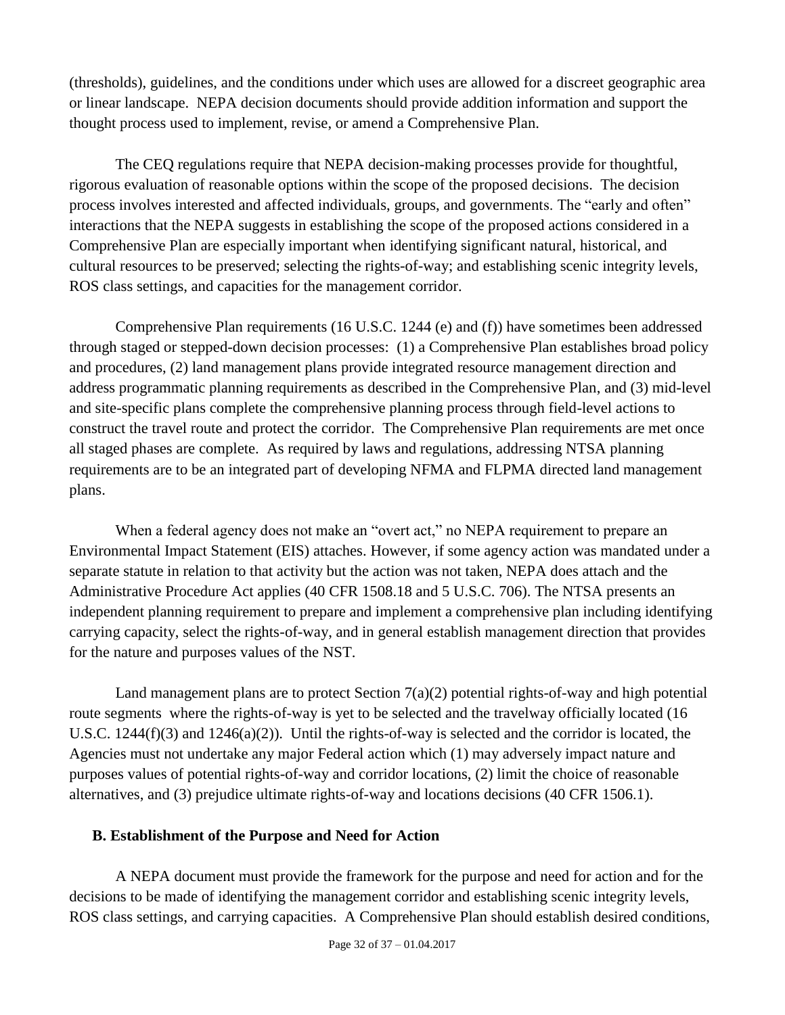(thresholds), guidelines, and the conditions under which uses are allowed for a discreet geographic area or linear landscape. NEPA decision documents should provide addition information and support the thought process used to implement, revise, or amend a Comprehensive Plan.

The CEQ regulations require that NEPA decision-making processes provide for thoughtful, rigorous evaluation of reasonable options within the scope of the proposed decisions. The decision process involves interested and affected individuals, groups, and governments. The "early and often" interactions that the NEPA suggests in establishing the scope of the proposed actions considered in a Comprehensive Plan are especially important when identifying significant natural, historical, and cultural resources to be preserved; selecting the rights-of-way; and establishing scenic integrity levels, ROS class settings, and capacities for the management corridor.

Comprehensive Plan requirements (16 U.S.C. 1244 (e) and (f)) have sometimes been addressed through staged or stepped-down decision processes: (1) a Comprehensive Plan establishes broad policy and procedures, (2) land management plans provide integrated resource management direction and address programmatic planning requirements as described in the Comprehensive Plan, and (3) mid-level and site-specific plans complete the comprehensive planning process through field-level actions to construct the travel route and protect the corridor. The Comprehensive Plan requirements are met once all staged phases are complete. As required by laws and regulations, addressing NTSA planning requirements are to be an integrated part of developing NFMA and FLPMA directed land management plans.

When a federal agency does not make an "overt act," no NEPA requirement to prepare an Environmental Impact Statement (EIS) attaches. However, if some agency action was mandated under a separate statute in relation to that activity but the action was not taken, NEPA does attach and the Administrative Procedure Act applies (40 CFR 1508.18 and 5 U.S.C. 706). The NTSA presents an independent planning requirement to prepare and implement a comprehensive plan including identifying carrying capacity, select the rights-of-way, and in general establish management direction that provides for the nature and purposes values of the NST.

Land management plans are to protect Section  $7(a)(2)$  potential rights-of-way and high potential route segments where the rights-of-way is yet to be selected and the travelway officially located (16 U.S.C. 1244(f)(3) and 1246(a)(2)). Until the rights-of-way is selected and the corridor is located, the Agencies must not undertake any major Federal action which (1) may adversely impact nature and purposes values of potential rights-of-way and corridor locations, (2) limit the choice of reasonable alternatives, and (3) prejudice ultimate rights-of-way and locations decisions (40 CFR 1506.1).

#### <span id="page-31-0"></span>**B. Establishment of the Purpose and Need for Action**

A NEPA document must provide the framework for the purpose and need for action and for the decisions to be made of identifying the management corridor and establishing scenic integrity levels, ROS class settings, and carrying capacities. A Comprehensive Plan should establish desired conditions,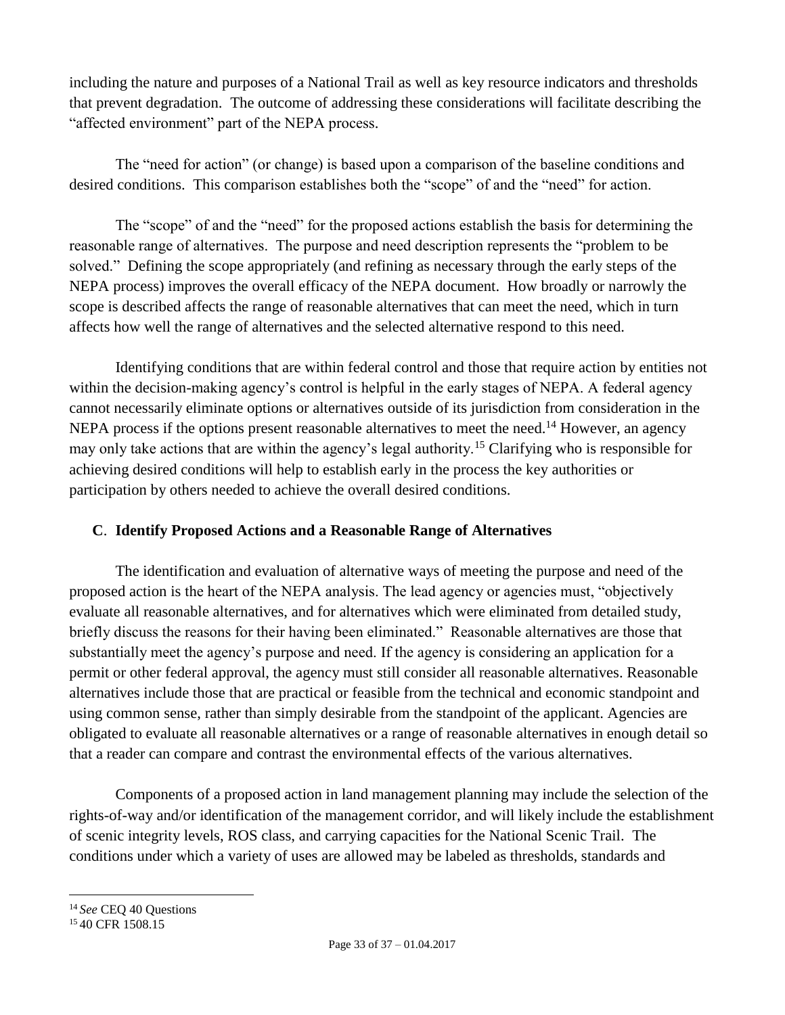including the nature and purposes of a National Trail as well as key resource indicators and thresholds that prevent degradation. The outcome of addressing these considerations will facilitate describing the "affected environment" part of the NEPA process.

The "need for action" (or change) is based upon a comparison of the baseline conditions and desired conditions. This comparison establishes both the "scope" of and the "need" for action.

The "scope" of and the "need" for the proposed actions establish the basis for determining the reasonable range of alternatives. The purpose and need description represents the "problem to be solved." Defining the scope appropriately (and refining as necessary through the early steps of the NEPA process) improves the overall efficacy of the NEPA document. How broadly or narrowly the scope is described affects the range of reasonable alternatives that can meet the need, which in turn affects how well the range of alternatives and the selected alternative respond to this need.

Identifying conditions that are within federal control and those that require action by entities not within the decision-making agency's control is helpful in the early stages of NEPA. A federal agency cannot necessarily eliminate options or alternatives outside of its jurisdiction from consideration in the NEPA process if the options present reasonable alternatives to meet the need.<sup>14</sup> However, an agency may only take actions that are within the agency's legal authority.<sup>15</sup> Clarifying who is responsible for achieving desired conditions will help to establish early in the process the key authorities or participation by others needed to achieve the overall desired conditions.

# <span id="page-32-0"></span>**C**. **Identify Proposed Actions and a Reasonable Range of Alternatives**

The identification and evaluation of alternative ways of meeting the purpose and need of the proposed action is the heart of the NEPA analysis. The lead agency or agencies must, "objectively evaluate all reasonable alternatives, and for alternatives which were eliminated from detailed study, briefly discuss the reasons for their having been eliminated." Reasonable alternatives are those that substantially meet the agency's purpose and need. If the agency is considering an application for a permit or other federal approval, the agency must still consider all reasonable alternatives. Reasonable alternatives include those that are practical or feasible from the technical and economic standpoint and using common sense, rather than simply desirable from the standpoint of the applicant. Agencies are obligated to evaluate all reasonable alternatives or a range of reasonable alternatives in enough detail so that a reader can compare and contrast the environmental effects of the various alternatives.

Components of a proposed action in land management planning may include the selection of the rights-of-way and/or identification of the management corridor, and will likely include the establishment of scenic integrity levels, ROS class, and carrying capacities for the National Scenic Trail. The conditions under which a variety of uses are allowed may be labeled as thresholds, standards and

<sup>14</sup> *See* CEQ 40 Questions

<sup>&</sup>lt;sup>15</sup> 40 CFR 1508.15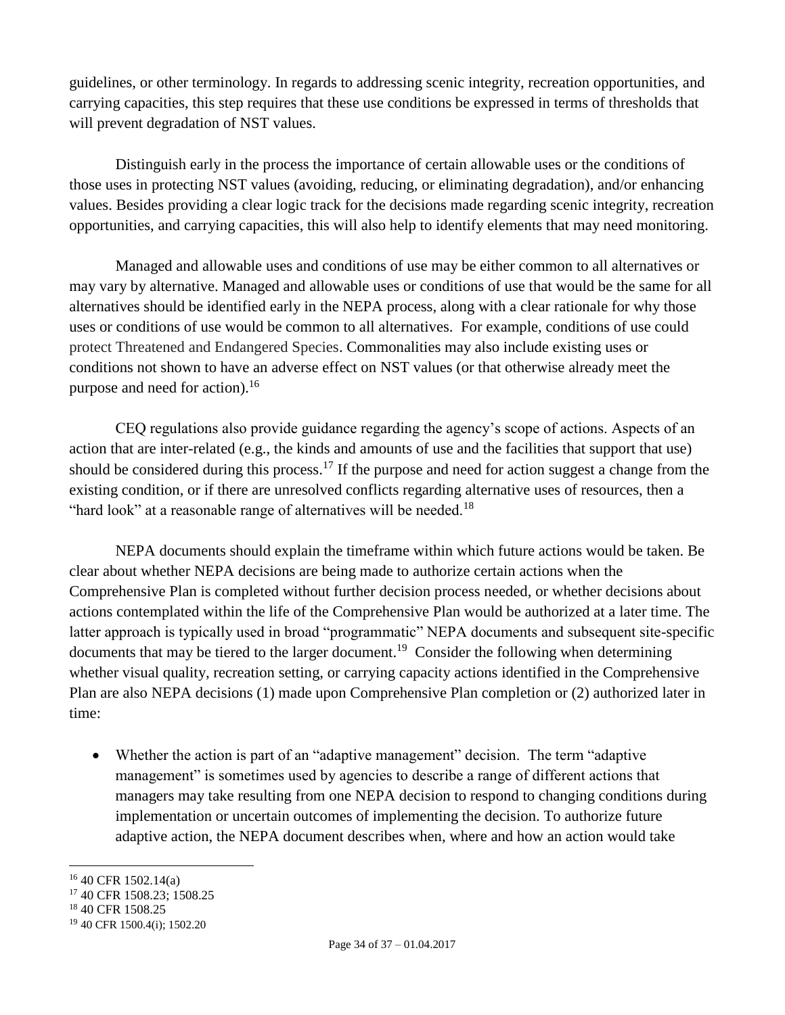guidelines, or other terminology. In regards to addressing scenic integrity, recreation opportunities, and carrying capacities, this step requires that these use conditions be expressed in terms of thresholds that will prevent degradation of NST values.

Distinguish early in the process the importance of certain allowable uses or the conditions of those uses in protecting NST values (avoiding, reducing, or eliminating degradation), and/or enhancing values. Besides providing a clear logic track for the decisions made regarding scenic integrity, recreation opportunities, and carrying capacities, this will also help to identify elements that may need monitoring.

Managed and allowable uses and conditions of use may be either common to all alternatives or may vary by alternative. Managed and allowable uses or conditions of use that would be the same for all alternatives should be identified early in the NEPA process, along with a clear rationale for why those uses or conditions of use would be common to all alternatives. For example, conditions of use could protect Threatened and Endangered Species. Commonalities may also include existing uses or conditions not shown to have an adverse effect on NST values (or that otherwise already meet the purpose and need for action). 16

CEQ regulations also provide guidance regarding the agency's scope of actions. Aspects of an action that are inter-related (e.g., the kinds and amounts of use and the facilities that support that use) should be considered during this process.<sup>17</sup> If the purpose and need for action suggest a change from the existing condition, or if there are unresolved conflicts regarding alternative uses of resources, then a "hard look" at a reasonable range of alternatives will be needed.<sup>18</sup>

NEPA documents should explain the timeframe within which future actions would be taken. Be clear about whether NEPA decisions are being made to authorize certain actions when the Comprehensive Plan is completed without further decision process needed, or whether decisions about actions contemplated within the life of the Comprehensive Plan would be authorized at a later time. The latter approach is typically used in broad "programmatic" NEPA documents and subsequent site-specific documents that may be tiered to the larger document.<sup>19</sup> Consider the following when determining whether visual quality, recreation setting, or carrying capacity actions identified in the Comprehensive Plan are also NEPA decisions (1) made upon Comprehensive Plan completion or (2) authorized later in time:

 Whether the action is part of an "adaptive management" decision. The term "adaptive management" is sometimes used by agencies to describe a range of different actions that managers may take resulting from one NEPA decision to respond to changing conditions during implementation or uncertain outcomes of implementing the decision. To authorize future adaptive action, the NEPA document describes when, where and how an action would take

<sup>16</sup> 40 CFR 1502.14(a)

<sup>17</sup> 40 CFR 1508.23; 1508.25

<sup>&</sup>lt;sup>18</sup> 40 CFR 1508.25

<sup>19</sup> 40 CFR 1500.4(i); 1502.20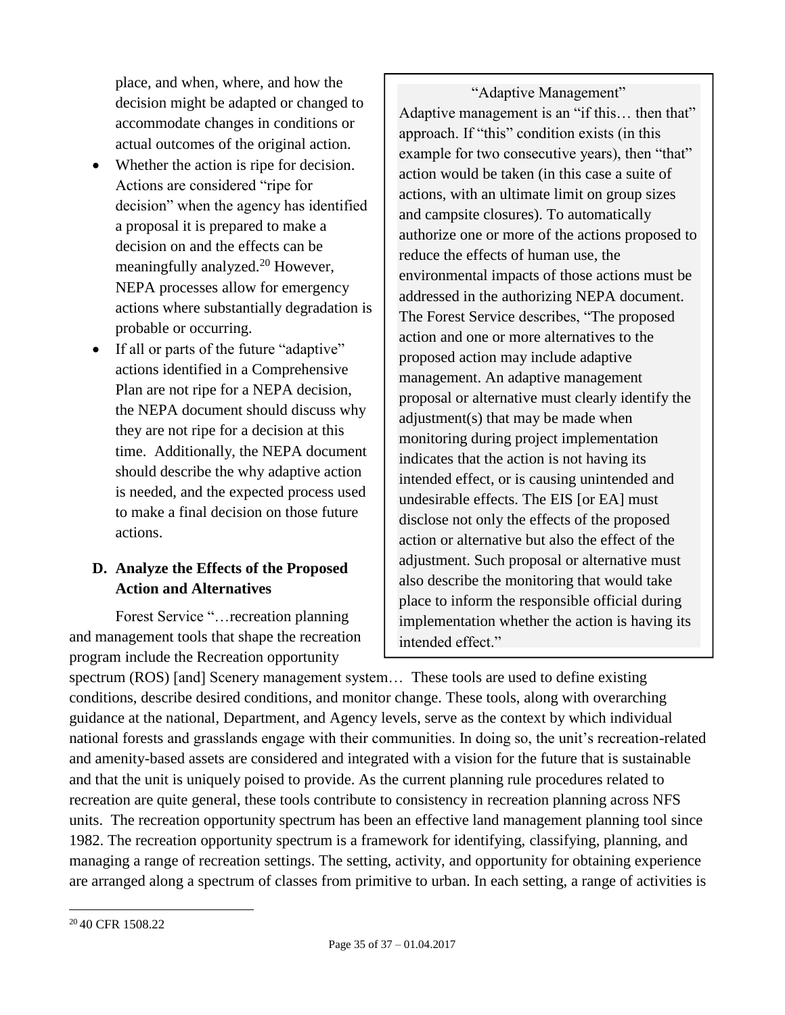place, and when, where, and how the decision might be adapted or changed to accommodate changes in conditions or actual outcomes of the original action.

- Whether the action is ripe for decision. Actions are considered "ripe for decision" when the agency has identified a proposal it is prepared to make a decision on and the effects can be meaningfully analyzed.<sup>20</sup> However, NEPA processes allow for emergency actions where substantially degradation is probable or occurring.
- If all or parts of the future "adaptive" actions identified in a Comprehensive Plan are not ripe for a NEPA decision, the NEPA document should discuss why they are not ripe for a decision at this time. Additionally, the NEPA document should describe the why adaptive action is needed, and the expected process used to make a final decision on those future actions.

# <span id="page-34-0"></span>**D. Analyze the Effects of the Proposed Action and Alternatives**

Forest Service "…recreation planning and management tools that shape the recreation program include the Recreation opportunity

"Adaptive Management" Adaptive management is an "if this… then that" approach. If "this" condition exists (in this example for two consecutive years), then "that" action would be taken (in this case a suite of actions, with an ultimate limit on group sizes and campsite closures). To automatically authorize one or more of the actions proposed to reduce the effects of human use, the environmental impacts of those actions must be addressed in the authorizing NEPA document. The Forest Service describes, "The proposed action and one or more alternatives to the proposed action may include adaptive management. An adaptive management proposal or alternative must clearly identify the adjustment(s) that may be made when monitoring during project implementation indicates that the action is not having its intended effect, or is causing unintended and undesirable effects. The EIS [or EA] must disclose not only the effects of the proposed action or alternative but also the effect of the adjustment. Such proposal or alternative must also describe the monitoring that would take place to inform the responsible official during implementation whether the action is having its intended effect."

spectrum (ROS) [and] Scenery management system... These tools are used to define existing conditions, describe desired conditions, and monitor change. These tools, along with overarching guidance at the national, Department, and Agency levels, serve as the context by which individual national forests and grasslands engage with their communities. In doing so, the unit's recreation-related and amenity-based assets are considered and integrated with a vision for the future that is sustainable and that the unit is uniquely poised to provide. As the current planning rule procedures related to recreation are quite general, these tools contribute to consistency in recreation planning across NFS units. The recreation opportunity spectrum has been an effective land management planning tool since 1982. The recreation opportunity spectrum is a framework for identifying, classifying, planning, and managing a range of recreation settings. The setting, activity, and opportunity for obtaining experience are arranged along a spectrum of classes from primitive to urban. In each setting, a range of activities is

<sup>&</sup>lt;sup>20</sup> 40 CFR 1508.22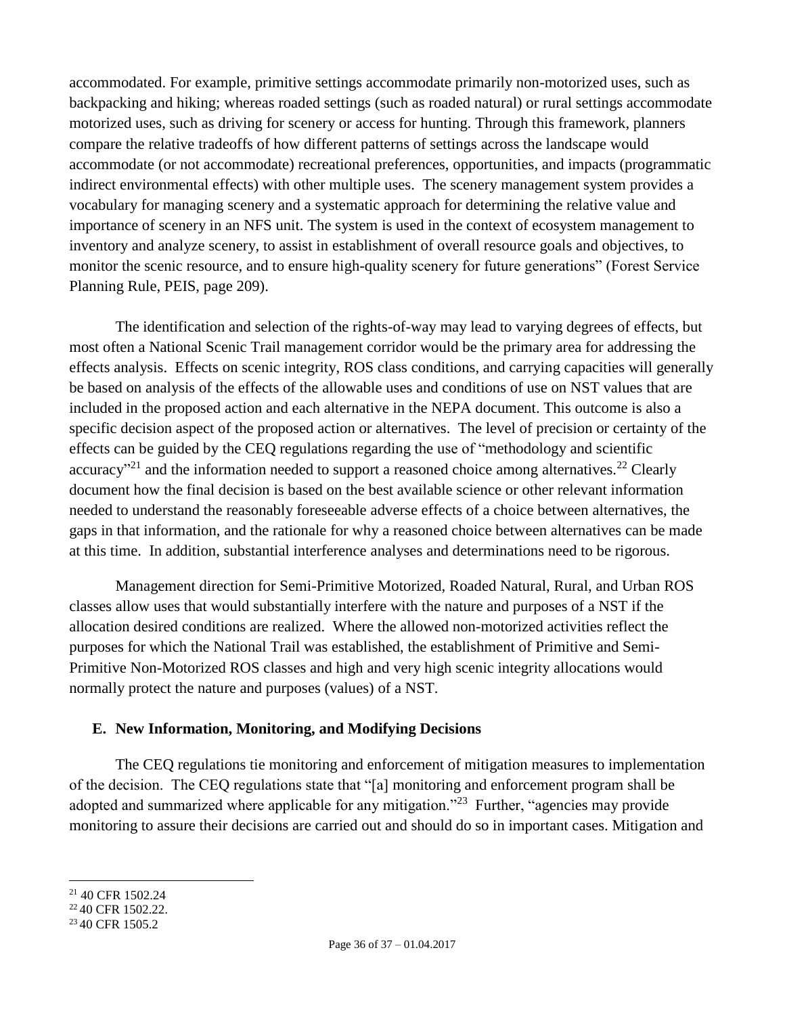accommodated. For example, primitive settings accommodate primarily non-motorized uses, such as backpacking and hiking; whereas roaded settings (such as roaded natural) or rural settings accommodate motorized uses, such as driving for scenery or access for hunting. Through this framework, planners compare the relative tradeoffs of how different patterns of settings across the landscape would accommodate (or not accommodate) recreational preferences, opportunities, and impacts (programmatic indirect environmental effects) with other multiple uses. The scenery management system provides a vocabulary for managing scenery and a systematic approach for determining the relative value and importance of scenery in an NFS unit. The system is used in the context of ecosystem management to inventory and analyze scenery, to assist in establishment of overall resource goals and objectives, to monitor the scenic resource, and to ensure high-quality scenery for future generations" (Forest Service Planning Rule, PEIS, page 209).

The identification and selection of the rights-of-way may lead to varying degrees of effects, but most often a National Scenic Trail management corridor would be the primary area for addressing the effects analysis. Effects on scenic integrity, ROS class conditions, and carrying capacities will generally be based on analysis of the effects of the allowable uses and conditions of use on NST values that are included in the proposed action and each alternative in the NEPA document. This outcome is also a specific decision aspect of the proposed action or alternatives. The level of precision or certainty of the effects can be guided by the CEQ regulations regarding the use of "methodology and scientific accuracy"<sup>21</sup> and the information needed to support a reasoned choice among alternatives.<sup>22</sup> Clearly document how the final decision is based on the best available science or other relevant information needed to understand the reasonably foreseeable adverse effects of a choice between alternatives, the gaps in that information, and the rationale for why a reasoned choice between alternatives can be made at this time. In addition, substantial interference analyses and determinations need to be rigorous.

Management direction for Semi-Primitive Motorized, Roaded Natural, Rural, and Urban ROS classes allow uses that would substantially interfere with the nature and purposes of a NST if the allocation desired conditions are realized. Where the allowed non-motorized activities reflect the purposes for which the National Trail was established, the establishment of Primitive and Semi-Primitive Non-Motorized ROS classes and high and very high scenic integrity allocations would normally protect the nature and purposes (values) of a NST.

#### <span id="page-35-0"></span>**E. New Information, Monitoring, and Modifying Decisions**

The CEQ regulations tie monitoring and enforcement of mitigation measures to implementation of the decision. The CEQ regulations state that "[a] monitoring and enforcement program shall be adopted and summarized where applicable for any mitigation."<sup>23</sup> Further, "agencies may provide monitoring to assure their decisions are carried out and should do so in important cases. Mitigation and

 $\overline{a}$ <sup>21</sup> 40 CFR 1502.24

<sup>&</sup>lt;sup>22</sup> 40 CFR 1502.22.

<sup>&</sup>lt;sup>23</sup> 40 CFR 1505.2